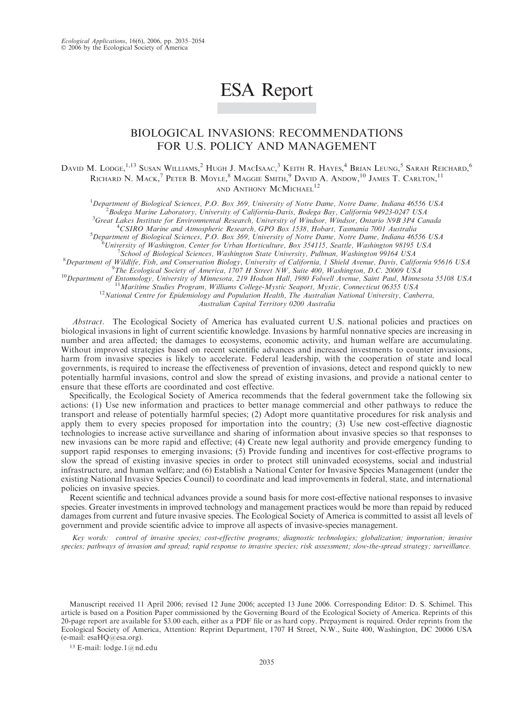# ESA Report

## BIOLOGICAL INVASIONS: RECOMMENDATIONS FOR U.S. POLICY AND MANAGEMENT

David M. Lodge,<sup>1,13</sup> Susan Williams,<sup>2</sup> Hugh J. MacIsaac,<sup>3</sup> Keith R. Hayes,<sup>4</sup> Brian Leung,<sup>5</sup> Sarah Reichard,<sup>6</sup> RICHARD N. MACK,<sup>7</sup> Peter B. Moyle,<sup>8</sup> Maggie Smith,<sup>9</sup> David A. Andow,<sup>10</sup> James T. Carlton,<sup>11</sup> AND ANTHONY MCMICHAEL<sup>12</sup>

<sup>1</sup>Department of Biological Sciences, P.O. Box 369, University of Notre Dame, Notre Dame, Indiana 46556 USA<br><sup>2</sup> Bodgea Marine Laboratory, University of California Davis, Bodgea Bay, California 04023 0247 USA

Bodega Marine Laboratory, University of California-Davis, Bodega Bay, California 94923-0247 USA <sup>3</sup>

<sup>3</sup>Great Lakes Institute for Environmental Research, University of Windsor, Windsor, Ontario N9B 3P4 Canada

<sup>4</sup>CSIRO Marine and Atmospheric Research, GPO Box 1538, Hobart, Tasmania 7001 Australia

 ${}^{5}$ Department of Biological Sciences, P.O. Box 369, University of Notre Dame, Notre Dame, Indiana 46556 USA

University of Washington, Center for Urban Horticulture, Box 354115, Seattle, Washington 98195 USA<br><sup>7</sup> School of Biological Sciences, Washington State University, Pullman, Washington 99164 USA

School of Biological Sciences, Washington State University, Pullman, Washington 99164 USA<sup>8</sup><br><sup>8</sup> Department of Wildlife, Fish, and Conservation Pielegy, University of California, J. Shield Ayanya, Davis, Calif

Department of Wildlife, Fish, and Conservation Biology, University of California, 1 Shield Avenue, Davis, California 95616 USA<br><sup>9</sup>The Ecologiaal Segisty of America, 1707 H Street NW, Suite 400, Washington, D.C. 20000 USA

<sup>10</sup>Department of Entomology, University of Minnesota, 219 Hodson Hall, 1980 Folwell Avenue, Saint Paul, Minnesota 55108 USA<br><sup>12</sup>National Centre for Epidemiology and Population Health, The Australian National University,

Australian Capital Territory 0200 Australia

Abstract. The Ecological Society of America has evaluated current U.S. national policies and practices on biological invasions in light of current scientific knowledge. Invasions by harmful nonnative species are increasing in number and area affected; the damages to ecosystems, economic activity, and human welfare are accumulating. Without improved strategies based on recent scientific advances and increased investments to counter invasions, harm from invasive species is likely to accelerate. Federal leadership, with the cooperation of state and local governments, is required to increase the effectiveness of prevention of invasions, detect and respond quickly to new potentially harmful invasions, control and slow the spread of existing invasions, and provide a national center to ensure that these efforts are coordinated and cost effective.

Specifically, the Ecological Society of America recommends that the federal government take the following six actions: (1) Use new information and practices to better manage commercial and other pathways to reduce the transport and release of potentially harmful species; (2) Adopt more quantitative procedures for risk analysis and apply them to every species proposed for importation into the country; (3) Use new cost-effective diagnostic technologies to increase active surveillance and sharing of information about invasive species so that responses to new invasions can be more rapid and effective; (4) Create new legal authority and provide emergency funding to support rapid responses to emerging invasions; (5) Provide funding and incentives for cost-effective programs to slow the spread of existing invasive species in order to protect still uninvaded ecosystems, social and industrial infrastructure, and human welfare; and (6) Establish a National Center for Invasive Species Management (under the existing National Invasive Species Council) to coordinate and lead improvements in federal, state, and international policies on invasive species.

Recent scientific and technical advances provide a sound basis for more cost-effective national responses to invasive species. Greater investments in improved technology and management practices would be more than repaid by reduced damages from current and future invasive species. The Ecological Society of America is committed to assist all levels of government and provide scientific advice to improve all aspects of invasive-species management.

Key words: control of invasive species; cost-effective programs; diagnostic technologies; globalization; importation; invasive species; pathways of invasion and spread; rapid response to invasive species; risk assessment; slow-the-spread strategy; surveillance.

<sup>13</sup> E-mail: lodge.1@nd.edu

Manuscript received 11 April 2006; revised 12 June 2006; accepted 13 June 2006. Corresponding Editor: D. S. Schimel. This article is based on a Position Paper commissioned by the Governing Board of the Ecological Society of America. Reprints of this 20-page report are available for \$3.00 each, either as a PDF file or as hard copy. Prepayment is required. Order reprints from the Ecological Society of America, Attention: Reprint Department, 1707 H Street, N.W., Suite 400, Washington, DC 20006 USA (e-mail: esaHQ@esa.org).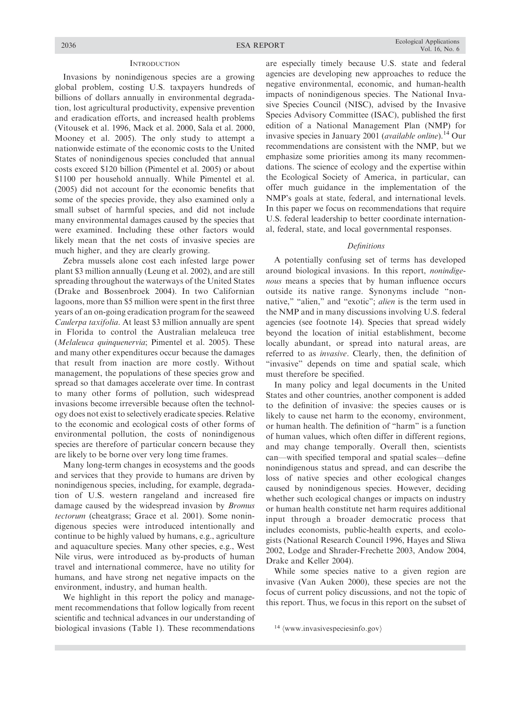#### **INTRODUCTION**

Invasions by nonindigenous species are a growing global problem, costing U.S. taxpayers hundreds of billions of dollars annually in environmental degradation, lost agricultural productivity, expensive prevention and eradication efforts, and increased health problems (Vitousek et al. 1996, Mack et al. 2000, Sala et al. 2000, Mooney et al. 2005). The only study to attempt a nationwide estimate of the economic costs to the United States of nonindigenous species concluded that annual costs exceed \$120 billion (Pimentel et al. 2005) or about \$1100 per household annually. While Pimentel et al. (2005) did not account for the economic benefits that some of the species provide, they also examined only a small subset of harmful species, and did not include many environmental damages caused by the species that were examined. Including these other factors would likely mean that the net costs of invasive species are much higher, and they are clearly growing.

Zebra mussels alone cost each infested large power plant \$3 million annually (Leung et al. 2002), and are still spreading throughout the waterways of the United States (Drake and Bossenbroek 2004). In two Californian lagoons, more than \$5 million were spent in the first three years of an on-going eradication program for the seaweed Caulerpa taxifolia. At least \$3 million annually are spent in Florida to control the Australian melaleuca tree (Melaleuca quinquenervia; Pimentel et al. 2005). These and many other expenditures occur because the damages that result from inaction are more costly. Without management, the populations of these species grow and spread so that damages accelerate over time. In contrast to many other forms of pollution, such widespread invasions become irreversible because often the technology does not exist to selectively eradicate species. Relative to the economic and ecological costs of other forms of environmental pollution, the costs of nonindigenous species are therefore of particular concern because they are likely to be borne over very long time frames.

Many long-term changes in ecosystems and the goods and services that they provide to humans are driven by nonindigenous species, including, for example, degradation of U.S. western rangeland and increased fire damage caused by the widespread invasion by Bromus tectorum (cheatgrass; Grace et al. 2001). Some nonindigenous species were introduced intentionally and continue to be highly valued by humans, e.g., agriculture and aquaculture species. Many other species, e.g., West Nile virus, were introduced as by-products of human travel and international commerce, have no utility for humans, and have strong net negative impacts on the environment, industry, and human health.

We highlight in this report the policy and management recommendations that follow logically from recent scientific and technical advances in our understanding of biological invasions (Table 1). These recommendations

are especially timely because U.S. state and federal agencies are developing new approaches to reduce the negative environmental, economic, and human-health impacts of nonindigenous species. The National Invasive Species Council (NISC), advised by the Invasive Species Advisory Committee (ISAC), published the first edition of a National Management Plan (NMP) for invasive species in January 2001 (*available online*).<sup>14</sup> Our recommendations are consistent with the NMP, but we emphasize some priorities among its many recommendations. The science of ecology and the expertise within the Ecological Society of America, in particular, can offer much guidance in the implementation of the NMP's goals at state, federal, and international levels. In this paper we focus on recommendations that require U.S. federal leadership to better coordinate international, federal, state, and local governmental responses.

#### **Definitions**

A potentially confusing set of terms has developed around biological invasions. In this report, nonindigenous means a species that by human influence occurs outside its native range. Synonyms include ''nonnative," "alien," and "exotic"; *alien* is the term used in the NMP and in many discussions involving U.S. federal agencies (see footnote 14). Species that spread widely beyond the location of initial establishment, become locally abundant, or spread into natural areas, are referred to as invasive. Clearly, then, the definition of "invasive" depends on time and spatial scale, which must therefore be specified.

In many policy and legal documents in the United States and other countries, another component is added to the definition of invasive: the species causes or is likely to cause net harm to the economy, environment, or human health. The definition of ''harm'' is a function of human values, which often differ in different regions, and may change temporally. Overall then, scientists can—with specified temporal and spatial scales—define nonindigenous status and spread, and can describe the loss of native species and other ecological changes caused by nonindigenous species. However, deciding whether such ecological changes or impacts on industry or human health constitute net harm requires additional input through a broader democratic process that includes economists, public-health experts, and ecologists (National Research Council 1996, Hayes and Sliwa 2002, Lodge and Shrader-Frechette 2003, Andow 2004, Drake and Keller 2004).

While some species native to a given region are invasive (Van Auken 2000), these species are not the focus of current policy discussions, and not the topic of this report. Thus, we focus in this report on the subset of

 $14 \langle$ www.invasivespeciesinfo.gov $\rangle$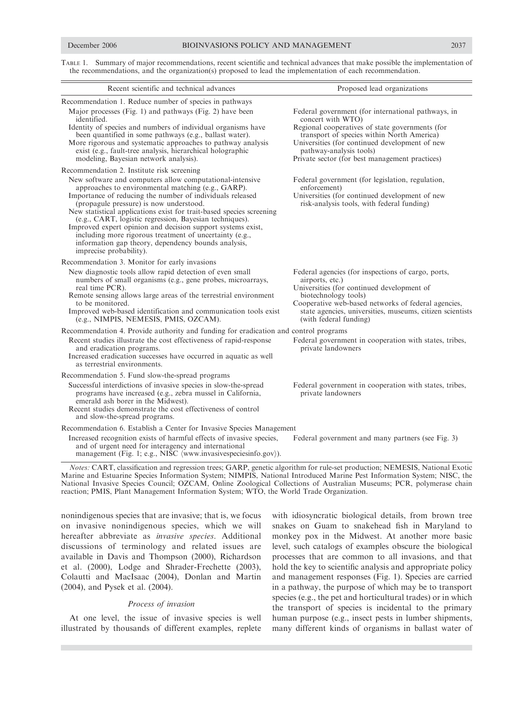TABLE 1. Summary of major recommendations, recent scientific and technical advances that make possible the implementation of the recommendations, and the organization(s) proposed to lead the implementation of each recommendation.

| Recent scientific and technical advances                                                                                                                                                                                                                                                                                                                                                                                                                                                                                                                              | Proposed lead organizations                                                                                                                                                                                                                                                                             |
|-----------------------------------------------------------------------------------------------------------------------------------------------------------------------------------------------------------------------------------------------------------------------------------------------------------------------------------------------------------------------------------------------------------------------------------------------------------------------------------------------------------------------------------------------------------------------|---------------------------------------------------------------------------------------------------------------------------------------------------------------------------------------------------------------------------------------------------------------------------------------------------------|
| Recommendation 1. Reduce number of species in pathways                                                                                                                                                                                                                                                                                                                                                                                                                                                                                                                |                                                                                                                                                                                                                                                                                                         |
| Major processes (Fig. 1) and pathways (Fig. 2) have been<br>identified.<br>Identity of species and numbers of individual organisms have<br>been quantified in some pathways (e.g., ballast water).<br>More rigorous and systematic approaches to pathway analysis<br>exist (e.g., fault-tree analysis, hierarchical holographic<br>modeling, Bayesian network analysis).                                                                                                                                                                                              | Federal government (for international pathways, in<br>concert with WTO)<br>Regional cooperatives of state governments (for<br>transport of species within North America)<br>Universities (for continued development of new<br>pathway-analysis tools)<br>Private sector (for best management practices) |
| Recommendation 2. Institute risk screening                                                                                                                                                                                                                                                                                                                                                                                                                                                                                                                            |                                                                                                                                                                                                                                                                                                         |
| New software and computers allow computational-intensive<br>approaches to environmental matching (e.g., GARP).<br>Importance of reducing the number of individuals released<br>(propagule pressure) is now understood.<br>New statistical applications exist for trait-based species screening<br>(e.g., CART, logistic regression, Bayesian techniques).<br>Improved expert opinion and decision support systems exist,<br>including more rigorous treatment of uncertainty (e.g.,<br>information gap theory, dependency bounds analysis,<br>imprecise probability). | Federal government (for legislation, regulation,<br>enforcement)<br>Universities (for continued development of new<br>risk-analysis tools, with federal funding)                                                                                                                                        |
| Recommendation 3. Monitor for early invasions                                                                                                                                                                                                                                                                                                                                                                                                                                                                                                                         |                                                                                                                                                                                                                                                                                                         |
| New diagnostic tools allow rapid detection of even small<br>numbers of small organisms (e.g., gene probes, microarrays,<br>real time PCR).<br>Remote sensing allows large areas of the terrestrial environment<br>to be monitored.<br>Improved web-based identification and communication tools exist<br>(e.g., NIMPIS, NEMESIS, PMIS, OZCAM).                                                                                                                                                                                                                        | Federal agencies (for inspections of cargo, ports,<br>airports, etc.)<br>Universities (for continued development of<br>biotechnology tools)<br>Cooperative web-based networks of federal agencies,<br>state agencies, universities, museums, citizen scientists<br>(with federal funding)               |
| Recommendation 4. Provide authority and funding for eradication and control programs                                                                                                                                                                                                                                                                                                                                                                                                                                                                                  |                                                                                                                                                                                                                                                                                                         |
| Recent studies illustrate the cost effectiveness of rapid-response<br>and eradication programs.<br>Increased eradication successes have occurred in aquatic as well<br>as terrestrial environments.                                                                                                                                                                                                                                                                                                                                                                   | Federal government in cooperation with states, tribes,<br>private landowners                                                                                                                                                                                                                            |
| Recommendation 5. Fund slow-the-spread programs                                                                                                                                                                                                                                                                                                                                                                                                                                                                                                                       |                                                                                                                                                                                                                                                                                                         |
| Successful interdictions of invasive species in slow-the-spread<br>programs have increased (e.g., zebra mussel in California,<br>emerald ash borer in the Midwest).<br>Recent studies demonstrate the cost effectiveness of control<br>and slow-the-spread programs.                                                                                                                                                                                                                                                                                                  | Federal government in cooperation with states, tribes,<br>private landowners                                                                                                                                                                                                                            |
| Recommendation 6. Establish a Center for Invasive Species Management                                                                                                                                                                                                                                                                                                                                                                                                                                                                                                  |                                                                                                                                                                                                                                                                                                         |
| Increased recognition exists of harmful effects of invasive species,<br>and of urgent need for interagency and international<br>management (Fig. 1; e.g., NISC $\langle www.invasivespeciesinfo.gov \rangle)$ ).                                                                                                                                                                                                                                                                                                                                                      | Federal government and many partners (see Fig. 3)                                                                                                                                                                                                                                                       |

Notes: CART, classification and regression trees; GARP, genetic algorithm for rule-set production; NEMESIS, National Exotic Marine and Estuarine Species Information System; NIMPIS, National Introduced Marine Pest Information System; NISC, the National Invasive Species Council; OZCAM, Online Zoological Collections of Australian Museums; PCR, polymerase chain reaction; PMIS, Plant Management Information System; WTO, the World Trade Organization.

nonindigenous species that are invasive; that is, we focus on invasive nonindigenous species, which we will hereafter abbreviate as invasive species. Additional discussions of terminology and related issues are available in Davis and Thompson (2000), Richardson et al. (2000), Lodge and Shrader-Frechette (2003), Colautti and MacIsaac (2004), Donlan and Martin (2004), and Pysek et al. (2004).

#### Process of invasion

At one level, the issue of invasive species is well illustrated by thousands of different examples, replete with idiosyncratic biological details, from brown tree snakes on Guam to snakehead fish in Maryland to monkey pox in the Midwest. At another more basic level, such catalogs of examples obscure the biological processes that are common to all invasions, and that hold the key to scientific analysis and appropriate policy and management responses (Fig. 1). Species are carried in a pathway, the purpose of which may be to transport species (e.g., the pet and horticultural trades) or in which the transport of species is incidental to the primary human purpose (e.g., insect pests in lumber shipments, many different kinds of organisms in ballast water of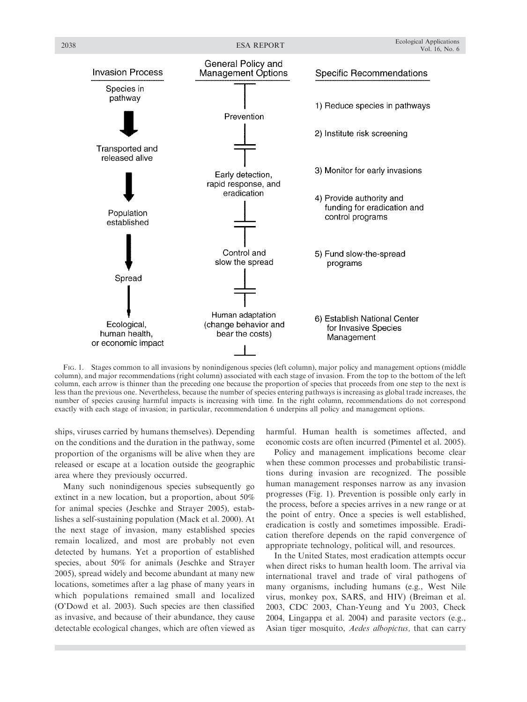

FIG. 1. Stages common to all invasions by nonindigenous species (left column), major policy and management options (middle column), and major recommendations (right column) associated with each stage of invasion. From the top to the bottom of the left column, each arrow is thinner than the preceding one because the proportion of species that proceeds from one step to the next is less than the previous one. Nevertheless, because the number of species entering pathways is increasing as global trade increases, the number of species causing harmful impacts is increasing with time. In the right column, recommendations do not correspond exactly with each stage of invasion; in particular, recommendation 6 underpins all policy and management options.

ships, viruses carried by humans themselves). Depending on the conditions and the duration in the pathway, some proportion of the organisms will be alive when they are released or escape at a location outside the geographic area where they previously occurred.

Many such nonindigenous species subsequently go extinct in a new location, but a proportion, about 50% for animal species (Jeschke and Strayer 2005), establishes a self-sustaining population (Mack et al. 2000). At the next stage of invasion, many established species remain localized, and most are probably not even detected by humans. Yet a proportion of established species, about 50% for animals (Jeschke and Strayer 2005), spread widely and become abundant at many new locations, sometimes after a lag phase of many years in which populations remained small and localized (O'Dowd et al. 2003). Such species are then classified as invasive, and because of their abundance, they cause detectable ecological changes, which are often viewed as

harmful. Human health is sometimes affected, and economic costs are often incurred (Pimentel et al. 2005).

Policy and management implications become clear when these common processes and probabilistic transitions during invasion are recognized. The possible human management responses narrow as any invasion progresses (Fig. 1). Prevention is possible only early in the process, before a species arrives in a new range or at the point of entry. Once a species is well established, eradication is costly and sometimes impossible. Eradication therefore depends on the rapid convergence of appropriate technology, political will, and resources.

In the United States, most eradication attempts occur when direct risks to human health loom. The arrival via international travel and trade of viral pathogens of many organisms, including humans (e.g., West Nile virus, monkey pox, SARS, and HIV) (Breiman et al. 2003, CDC 2003, Chan-Yeung and Yu 2003, Check 2004, Lingappa et al. 2004) and parasite vectors (e.g., Asian tiger mosquito, Aedes albopictus, that can carry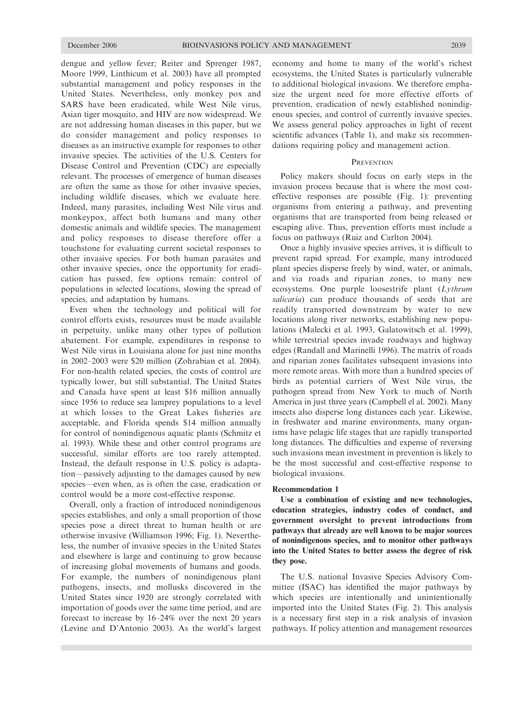dengue and yellow fever; Reiter and Sprenger 1987, Moore 1999, Linthicum et al. 2003) have all prompted substantial management and policy responses in the United States. Nevertheless, only monkey pox and SARS have been eradicated, while West Nile virus, Asian tiger mosquito, and HIV are now widespread. We are not addressing human diseases in this paper, but we do consider management and policy responses to diseases as an instructive example for responses to other invasive species. The activities of the U.S. Centers for Disease Control and Prevention (CDC) are especially relevant. The processes of emergence of human diseases are often the same as those for other invasive species, including wildlife diseases, which we evaluate here. Indeed, many parasites, including West Nile virus and monkeypox, affect both humans and many other domestic animals and wildlife species. The management and policy responses to disease therefore offer a touchstone for evaluating current societal responses to other invasive species. For both human parasites and other invasive species, once the opportunity for eradication has passed, few options remain: control of populations in selected locations, slowing the spread of species, and adaptation by humans.

Even when the technology and political will for control efforts exists, resources must be made available in perpetuity, unlike many other types of pollution abatement. For example, expenditures in response to West Nile virus in Louisiana alone for just nine months in 2002–2003 were \$20 million (Zohrabian et al. 2004). For non-health related species, the costs of control are typically lower, but still substantial. The United States and Canada have spent at least \$16 million annually since 1956 to reduce sea lamprey populations to a level at which losses to the Great Lakes fisheries are acceptable, and Florida spends \$14 million annually for control of nonindigenous aquatic plants (Schmitz et al. 1993). While these and other control programs are successful, similar efforts are too rarely attempted. Instead, the default response in U.S. policy is adaptation—passively adjusting to the damages caused by new species—even when, as is often the case, eradication or control would be a more cost-effective response.

Overall, only a fraction of introduced nonindigenous species establishes, and only a small proportion of those species pose a direct threat to human health or are otherwise invasive (Williamson 1996; Fig. 1). Nevertheless, the number of invasive species in the United States and elsewhere is large and continuing to grow because of increasing global movements of humans and goods. For example, the numbers of nonindigenous plant pathogens, insects, and mollusks discovered in the United States since 1920 are strongly correlated with importation of goods over the same time period, and are forecast to increase by 16–24% over the next 20 years (Levine and D'Antonio 2003). As the world's largest economy and home to many of the world's richest ecosystems, the United States is particularly vulnerable to additional biological invasions. We therefore emphasize the urgent need for more effective efforts of prevention, eradication of newly established nonindigenous species, and control of currently invasive species. We assess general policy approaches in light of recent scientific advances (Table 1), and make six recommendations requiring policy and management action.

#### **PREVENTION**

Policy makers should focus on early steps in the invasion process because that is where the most costeffective responses are possible (Fig. 1): preventing organisms from entering a pathway, and preventing organisms that are transported from being released or escaping alive. Thus, prevention efforts must include a focus on pathways (Ruiz and Carlton 2004).

Once a highly invasive species arrives, it is difficult to prevent rapid spread. For example, many introduced plant species disperse freely by wind, water, or animals, and via roads and riparian zones, to many new ecosystems. One purple loosestrife plant (Lythrum salicaria) can produce thousands of seeds that are readily transported downstream by water to new locations along river networks, establishing new populations (Malecki et al. 1993, Galatowitsch et al. 1999), while terrestrial species invade roadways and highway edges (Randall and Marinelli 1996). The matrix of roads and riparian zones facilitates subsequent invasions into more remote areas. With more than a hundred species of birds as potential carriers of West Nile virus, the pathogen spread from New York to much of North America in just three years (Campbell el al. 2002). Many insects also disperse long distances each year. Likewise, in freshwater and marine environments, many organisms have pelagic life stages that are rapidly transported long distances. The difficulties and expense of reversing such invasions mean investment in prevention is likely to be the most successful and cost-effective response to biological invasions.

#### Recommendation 1

Use a combination of existing and new technologies, education strategies, industry codes of conduct, and government oversight to prevent introductions from pathways that already are well known to be major sources of nonindigenous species, and to monitor other pathways into the United States to better assess the degree of risk they pose.

The U.S. national Invasive Species Advisory Committee (ISAC) has identified the major pathways by which species are intentionally and unintentionally imported into the United States (Fig. 2). This analysis is a necessary first step in a risk analysis of invasion pathways. If policy attention and management resources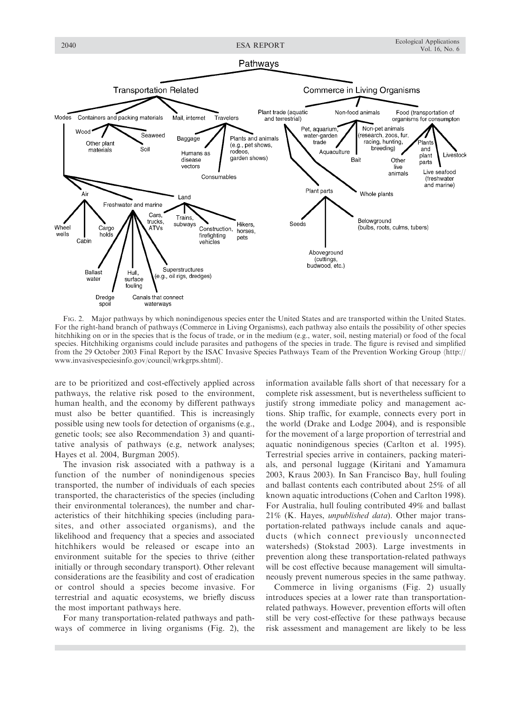

FIG. 2. Major pathways by which nonindigenous species enter the United States and are transported within the United States. For the right-hand branch of pathways (Commerce in Living Organisms), each pathway also entails the possibility of other species hitchhiking on or in the species that is the focus of trade, or in the medium (e.g., water, soil, nesting material) or food of the focal species. Hitchhiking organisms could include parasites and pathogens of the species in trade. The figure is revised and simplified from the 29 October 2003 Final Report by the ISAC Invasive Species Pathways Team of the Prevention Working Group (http:// www.invasivespeciesinfo.gov/council/wrkgrps.shtml).

are to be prioritized and cost-effectively applied across pathways, the relative risk posed to the environment, human health, and the economy by different pathways must also be better quantified. This is increasingly possible using new tools for detection of organisms (e.g., genetic tools; see also Recommendation 3) and quantitative analysis of pathways (e.g, network analyses; Hayes et al. 2004, Burgman 2005).

The invasion risk associated with a pathway is a function of the number of nonindigenous species transported, the number of individuals of each species transported, the characteristics of the species (including their environmental tolerances), the number and characteristics of their hitchhiking species (including parasites, and other associated organisms), and the likelihood and frequency that a species and associated hitchhikers would be released or escape into an environment suitable for the species to thrive (either initially or through secondary transport). Other relevant considerations are the feasibility and cost of eradication or control should a species become invasive. For terrestrial and aquatic ecosystems, we briefly discuss the most important pathways here.

For many transportation-related pathways and pathways of commerce in living organisms (Fig. 2), the information available falls short of that necessary for a complete risk assessment, but is nevertheless sufficient to justify strong immediate policy and management actions. Ship traffic, for example, connects every port in the world (Drake and Lodge 2004), and is responsible for the movement of a large proportion of terrestrial and aquatic nonindigenous species (Carlton et al. 1995). Terrestrial species arrive in containers, packing materials, and personal luggage (Kiritani and Yamamura 2003, Kraus 2003). In San Francisco Bay, hull fouling and ballast contents each contributed about 25% of all known aquatic introductions (Cohen and Carlton 1998). For Australia, hull fouling contributed 49% and ballast 21% (K. Hayes, unpublished data). Other major transportation-related pathways include canals and aqueducts (which connect previously unconnected watersheds) (Stokstad 2003). Large investments in prevention along these transportation-related pathways will be cost effective because management will simultaneously prevent numerous species in the same pathway.

Commerce in living organisms (Fig. 2) usually introduces species at a lower rate than transportationrelated pathways. However, prevention efforts will often still be very cost-effective for these pathways because risk assessment and management are likely to be less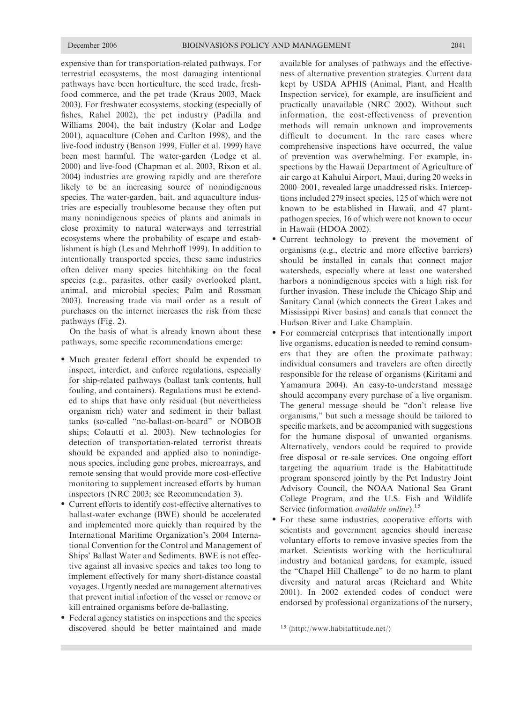expensive than for transportation-related pathways. For terrestrial ecosystems, the most damaging intentional pathways have been horticulture, the seed trade, freshfood commerce, and the pet trade (Kraus 2003, Mack 2003). For freshwater ecosystems, stocking (especially of fishes, Rahel 2002), the pet industry (Padilla and Williams 2004), the bait industry (Kolar and Lodge 2001), aquaculture (Cohen and Carlton 1998), and the live-food industry (Benson 1999, Fuller et al. 1999) have been most harmful. The water-garden (Lodge et al. 2000) and live-food (Chapman et al. 2003, Rixon et al. 2004) industries are growing rapidly and are therefore likely to be an increasing source of nonindigenous species. The water-garden, bait, and aquaculture industries are especially troublesome because they often put many nonindigenous species of plants and animals in close proximity to natural waterways and terrestrial ecosystems where the probability of escape and establishment is high (Les and Mehrhoff 1999). In addition to intentionally transported species, these same industries often deliver many species hitchhiking on the focal species (e.g., parasites, other easily overlooked plant, animal, and microbial species; Palm and Rossman 2003). Increasing trade via mail order as a result of purchases on the internet increases the risk from these pathways (Fig. 2).

On the basis of what is already known about these pathways, some specific recommendations emerge:

- Much greater federal effort should be expended to inspect, interdict, and enforce regulations, especially for ship-related pathways (ballast tank contents, hull fouling, and containers). Regulations must be extended to ships that have only residual (but nevertheless organism rich) water and sediment in their ballast tanks (so-called ''no-ballast-on-board'' or NOBOB ships; Colautti et al. 2003). New technologies for detection of transportation-related terrorist threats should be expanded and applied also to nonindigenous species, including gene probes, microarrays, and remote sensing that would provide more cost-effective monitoring to supplement increased efforts by human inspectors (NRC 2003; see Recommendation 3).
- Current efforts to identify cost-effective alternatives to ballast-water exchange (BWE) should be accelerated and implemented more quickly than required by the International Maritime Organization's 2004 International Convention for the Control and Management of Ships' Ballast Water and Sediments. BWE is not effective against all invasive species and takes too long to implement effectively for many short-distance coastal voyages. Urgently needed are management alternatives that prevent initial infection of the vessel or remove or kill entrained organisms before de-ballasting.
- Federal agency statistics on inspections and the species discovered should be better maintained and made

available for analyses of pathways and the effectiveness of alternative prevention strategies. Current data kept by USDA APHIS (Animal, Plant, and Health Inspection service), for example, are insufficient and practically unavailable (NRC 2002). Without such information, the cost-effectiveness of prevention methods will remain unknown and improvements difficult to document. In the rare cases where comprehensive inspections have occurred, the value of prevention was overwhelming. For example, inspections by the Hawaii Department of Agriculture of air cargo at Kahului Airport, Maui, during 20 weeks in 2000–2001, revealed large unaddressed risks. Interceptions included 279 insect species, 125 of which were not known to be established in Hawaii, and 47 plantpathogen species, 16 of which were not known to occur in Hawaii (HDOA 2002).

- Current technology to prevent the movement of organisms (e.g., electric and more effective barriers) should be installed in canals that connect major watersheds, especially where at least one watershed harbors a nonindigenous species with a high risk for further invasion. These include the Chicago Ship and Sanitary Canal (which connects the Great Lakes and Mississippi River basins) and canals that connect the Hudson River and Lake Champlain.
- For commercial enterprises that intentionally import live organisms, education is needed to remind consumers that they are often the proximate pathway: individual consumers and travelers are often directly responsible for the release of organisms (Kiritami and Yamamura 2004). An easy-to-understand message should accompany every purchase of a live organism. The general message should be ''don't release live organisms,'' but such a message should be tailored to specific markets, and be accompanied with suggestions for the humane disposal of unwanted organisms. Alternatively, vendors could be required to provide free disposal or re-sale services. One ongoing effort targeting the aquarium trade is the Habitattitude program sponsored jointly by the Pet Industry Joint Advisory Council, the NOAA National Sea Grant College Program, and the U.S. Fish and Wildlife Service (information *available online*).<sup>15</sup>
- For these same industries, cooperative efforts with scientists and government agencies should increase voluntary efforts to remove invasive species from the market. Scientists working with the horticultural industry and botanical gardens, for example, issued the ''Chapel Hill Challenge'' to do no harm to plant diversity and natural areas (Reichard and White 2001). In 2002 extended codes of conduct were endorsed by professional organizations of the nursery,

<sup>15</sup>  $\langle$ http://www.habitattitude.net/ $\rangle$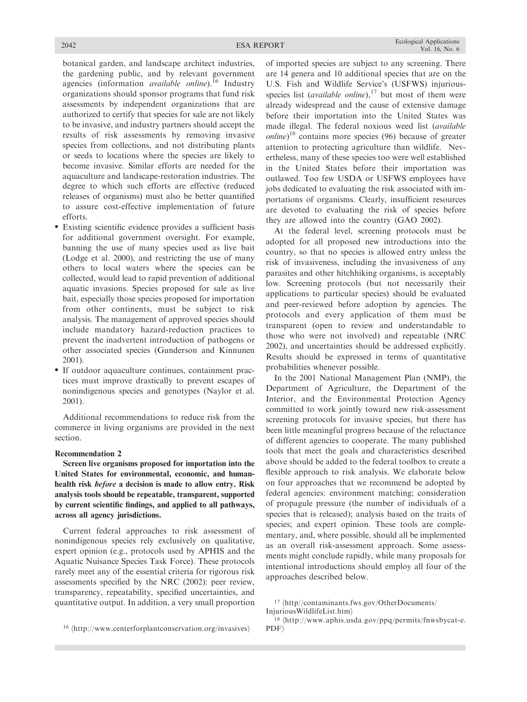botanical garden, and landscape architect industries, the gardening public, and by relevant government agencies (information *available online*).<sup>16</sup> Industry organizations should sponsor programs that fund risk assessments by independent organizations that are authorized to certify that species for sale are not likely to be invasive, and industry partners should accept the results of risk assessments by removing invasive species from collections, and not distributing plants or seeds to locations where the species are likely to become invasive. Similar efforts are needed for the aquaculture and landscape-restoration industries. The degree to which such efforts are effective (reduced releases of organisms) must also be better quantified to assure cost-effective implementation of future efforts.

- Existing scientific evidence provides a sufficient basis for additional government oversight. For example, banning the use of many species used as live bait (Lodge et al. 2000), and restricting the use of many others to local waters where the species can be collected, would lead to rapid prevention of additional aquatic invasions. Species proposed for sale as live bait, especially those species proposed for importation from other continents, must be subject to risk analysis. The management of approved species should include mandatory hazard-reduction practices to prevent the inadvertent introduction of pathogens or other associated species (Gunderson and Kinnunen 2001).
- If outdoor aquaculture continues, containment practices must improve drastically to prevent escapes of nonindigenous species and genotypes (Naylor et al. 2001).

Additional recommendations to reduce risk from the commerce in living organisms are provided in the next section.

#### Recommendation 2

Screen live organisms proposed for importation into the United States for environmental, economic, and humanhealth risk before a decision is made to allow entry. Risk analysis tools should be repeatable, transparent, supported by current scientific findings, and applied to all pathways, across all agency jurisdictions.

Current federal approaches to risk assessment of nonindigenous species rely exclusively on qualitative, expert opinion (e.g., protocols used by APHIS and the Aquatic Nuisance Species Task Force). These protocols rarely meet any of the essential criteria for rigorous risk assessments specified by the NRC (2002): peer review, transparency, repeatability, specified uncertainties, and quantitative output. In addition, a very small proportion of imported species are subject to any screening. There are 14 genera and 10 additional species that are on the U.S. Fish and Wildlife Service's (USFWS) injuriousspecies list (*available online*),<sup>17</sup> but most of them were already widespread and the cause of extensive damage before their importation into the United States was made illegal. The federal noxious weed list (available  $online$ <sup>18</sup> contains more species (96) because of greater attention to protecting agriculture than wildlife. Nevertheless, many of these species too were well established in the United States before their importation was outlawed. Too few USDA or USFWS employees have jobs dedicated to evaluating the risk associated with importations of organisms. Clearly, insufficient resources are devoted to evaluating the risk of species before they are allowed into the country (GAO 2002).

At the federal level, screening protocols must be adopted for all proposed new introductions into the country, so that no species is allowed entry unless the risk of invasiveness, including the invasiveness of any parasites and other hitchhiking organisms, is acceptably low. Screening protocols (but not necessarily their applications to particular species) should be evaluated and peer-reviewed before adoption by agencies. The protocols and every application of them must be transparent (open to review and understandable to those who were not involved) and repeatable (NRC 2002), and uncertainties should be addressed explicitly. Results should be expressed in terms of quantitative probabilities whenever possible.

In the 2001 National Management Plan (NMP), the Department of Agriculture, the Department of the Interior, and the Environmental Protection Agency committed to work jointly toward new risk-assessment screening protocols for invasive species, but there has been little meaningful progress because of the reluctance of different agencies to cooperate. The many published tools that meet the goals and characteristics described above should be added to the federal toolbox to create a flexible approach to risk analysis. We elaborate below on four approaches that we recommend be adopted by federal agencies: environment matching; consideration of propagule pressure (the number of individuals of a species that is released); analysis based on the traits of species; and expert opinion. These tools are complementary, and, where possible, should all be implemented as an overall risk-assessment approach. Some assessments might conclude rapidly, while many proposals for intentional introductions should employ all four of the approaches described below.

<sup>17</sup> hhttp//contaminants.fws.gov/OtherDocuments/ InjuriousWildlifeList.htmi

<sup>18</sup> (http://www.aphis.usda.gov/ppq/permits/fnwsbycat-e.  $PDF \rangle$ 

<sup>&</sup>lt;sup>16</sup> (http://www.centerforplantconservation.org/invasives)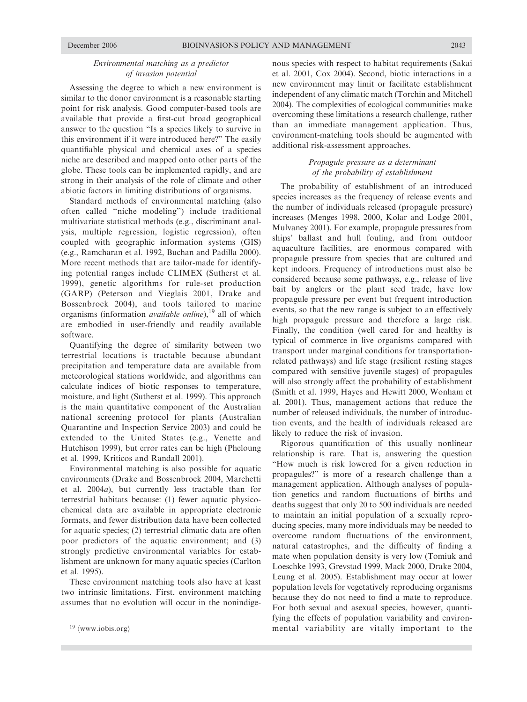#### Environmental matching as a predictor of invasion potential

Assessing the degree to which a new environment is similar to the donor environment is a reasonable starting point for risk analysis. Good computer-based tools are available that provide a first-cut broad geographical answer to the question ''Is a species likely to survive in this environment if it were introduced here?'' The easily quantifiable physical and chemical axes of a species niche are described and mapped onto other parts of the globe. These tools can be implemented rapidly, and are strong in their analysis of the role of climate and other abiotic factors in limiting distributions of organisms.

Standard methods of environmental matching (also often called ''niche modeling'') include traditional multivariate statistical methods (e.g., discriminant analysis, multiple regression, logistic regression), often coupled with geographic information systems (GIS) (e.g., Ramcharan et al. 1992, Buchan and Padilla 2000). More recent methods that are tailor-made for identifying potential ranges include CLIMEX (Sutherst et al. 1999), genetic algorithms for rule-set production (GARP) (Peterson and Vieglais 2001, Drake and Bossenbroek 2004), and tools tailored to marine organisms (information *available online*),<sup>19</sup> all of which are embodied in user-friendly and readily available software.

Quantifying the degree of similarity between two terrestrial locations is tractable because abundant precipitation and temperature data are available from meteorological stations worldwide, and algorithms can calculate indices of biotic responses to temperature, moisture, and light (Sutherst et al. 1999). This approach is the main quantitative component of the Australian national screening protocol for plants (Australian Quarantine and Inspection Service 2003) and could be extended to the United States (e.g., Venette and Hutchison 1999), but error rates can be high (Pheloung et al. 1999, Kriticos and Randall 2001).

Environmental matching is also possible for aquatic environments (Drake and Bossenbroek 2004, Marchetti et al. 2004a), but currently less tractable than for terrestrial habitats because: (1) fewer aquatic physicochemical data are available in appropriate electronic formats, and fewer distribution data have been collected for aquatic species; (2) terrestrial climatic data are often poor predictors of the aquatic environment; and (3) strongly predictive environmental variables for establishment are unknown for many aquatic species (Carlton et al. 1995).

These environment matching tools also have at least two intrinsic limitations. First, environment matching assumes that no evolution will occur in the nonindige-

nous species with respect to habitat requirements (Sakai et al. 2001, Cox 2004). Second, biotic interactions in a new environment may limit or facilitate establishment independent of any climatic match (Torchin and Mitchell 2004). The complexities of ecological communities make overcoming these limitations a research challenge, rather than an immediate management application. Thus, environment-matching tools should be augmented with additional risk-assessment approaches.

#### Propagule pressure as a determinant of the probability of establishment

The probability of establishment of an introduced species increases as the frequency of release events and the number of individuals released (propagule pressure) increases (Menges 1998, 2000, Kolar and Lodge 2001, Mulvaney 2001). For example, propagule pressures from ships' ballast and hull fouling, and from outdoor aquaculture facilities, are enormous compared with propagule pressure from species that are cultured and kept indoors. Frequency of introductions must also be considered because some pathways, e.g., release of live bait by anglers or the plant seed trade, have low propagule pressure per event but frequent introduction events, so that the new range is subject to an effectively high propagule pressure and therefore a large risk. Finally, the condition (well cared for and healthy is typical of commerce in live organisms compared with transport under marginal conditions for transportationrelated pathways) and life stage (resilient resting stages compared with sensitive juvenile stages) of propagules will also strongly affect the probability of establishment (Smith et al. 1999, Hayes and Hewitt 2000, Wonham et al. 2001). Thus, management actions that reduce the number of released individuals, the number of introduction events, and the health of individuals released are likely to reduce the risk of invasion.

Rigorous quantification of this usually nonlinear relationship is rare. That is, answering the question ''How much is risk lowered for a given reduction in propagules?'' is more of a research challenge than a management application. Although analyses of population genetics and random fluctuations of births and deaths suggest that only 20 to 500 individuals are needed to maintain an initial population of a sexually reproducing species, many more individuals may be needed to overcome random fluctuations of the environment, natural catastrophes, and the difficulty of finding a mate when population density is very low (Tomiuk and Loeschke 1993, Grevstad 1999, Mack 2000, Drake 2004, Leung et al. 2005). Establishment may occur at lower population levels for vegetatively reproducing organisms because they do not need to find a mate to reproduce. For both sexual and asexual species, however, quantifying the effects of population variability and environ-<sup>19</sup> (www.iobis.org) **the 19 hww.iobis.org** mental variability are vitally important to the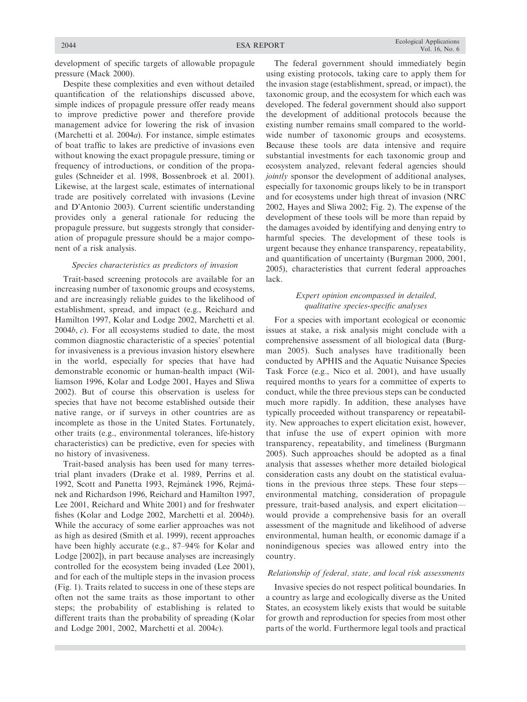development of specific targets of allowable propagule pressure (Mack 2000).

Despite these complexities and even without detailed quantification of the relationships discussed above, simple indices of propagule pressure offer ready means to improve predictive power and therefore provide management advice for lowering the risk of invasion (Marchetti et al. 2004a). For instance, simple estimates of boat traffic to lakes are predictive of invasions even without knowing the exact propagule pressure, timing or frequency of introductions, or condition of the propagules (Schneider et al. 1998, Bossenbroek et al. 2001). Likewise, at the largest scale, estimates of international trade are positively correlated with invasions (Levine and D'Antonio 2003). Current scientific understanding provides only a general rationale for reducing the propagule pressure, but suggests strongly that consideration of propagule pressure should be a major component of a risk analysis.

#### Species characteristics as predictors of invasion

Trait-based screening protocols are available for an increasing number of taxonomic groups and ecosystems, and are increasingly reliable guides to the likelihood of establishment, spread, and impact (e.g., Reichard and Hamilton 1997, Kolar and Lodge 2002, Marchetti et al.  $2004b, c$ . For all ecosystems studied to date, the most common diagnostic characteristic of a species' potential for invasiveness is a previous invasion history elsewhere in the world, especially for species that have had demonstrable economic or human-health impact (Williamson 1996, Kolar and Lodge 2001, Hayes and Sliwa 2002). But of course this observation is useless for species that have not become established outside their native range, or if surveys in other countries are as incomplete as those in the United States. Fortunately, other traits (e.g., environmental tolerances, life-history characteristics) can be predictive, even for species with no history of invasiveness.

Trait-based analysis has been used for many terrestrial plant invaders (Drake et al. 1989, Perrins et al. 1992, Scott and Panetta 1993, Rejmánek 1996, Rejmánek and Richardson 1996, Reichard and Hamilton 1997, Lee 2001, Reichard and White 2001) and for freshwater fishes (Kolar and Lodge 2002, Marchetti et al. 2004b). While the accuracy of some earlier approaches was not as high as desired (Smith et al. 1999), recent approaches have been highly accurate (e.g., 87–94% for Kolar and Lodge [2002]), in part because analyses are increasingly controlled for the ecosystem being invaded (Lee 2001), and for each of the multiple steps in the invasion process (Fig. 1). Traits related to success in one of these steps are often not the same traits as those important to other steps; the probability of establishing is related to different traits than the probability of spreading (Kolar and Lodge 2001, 2002, Marchetti et al. 2004c).

The federal government should immediately begin using existing protocols, taking care to apply them for the invasion stage (establishment, spread, or impact), the taxonomic group, and the ecosystem for which each was developed. The federal government should also support the development of additional protocols because the existing number remains small compared to the worldwide number of taxonomic groups and ecosystems. Because these tools are data intensive and require substantial investments for each taxonomic group and ecosystem analyzed, relevant federal agencies should jointly sponsor the development of additional analyses, especially for taxonomic groups likely to be in transport and for ecosystems under high threat of invasion (NRC 2002, Hayes and Sliwa 2002; Fig. 2). The expense of the development of these tools will be more than repaid by the damages avoided by identifying and denying entry to harmful species. The development of these tools is urgent because they enhance transparency, repeatability, and quantification of uncertainty (Burgman 2000, 2001, 2005), characteristics that current federal approaches lack.

#### Expert opinion encompassed in detailed, qualitative species-specific analyses

For a species with important ecological or economic issues at stake, a risk analysis might conclude with a comprehensive assessment of all biological data (Burgman 2005). Such analyses have traditionally been conducted by APHIS and the Aquatic Nuisance Species Task Force (e.g., Nico et al. 2001), and have usually required months to years for a committee of experts to conduct, while the three previous steps can be conducted much more rapidly. In addition, these analyses have typically proceeded without transparency or repeatability. New approaches to expert elicitation exist, however, that infuse the use of expert opinion with more transparency, repeatability, and timeliness (Burgmann 2005). Such approaches should be adopted as a final analysis that assesses whether more detailed biological consideration casts any doubt on the statistical evaluations in the previous three steps. These four steps environmental matching, consideration of propagule pressure, trait-based analysis, and expert elicitation would provide a comprehensive basis for an overall assessment of the magnitude and likelihood of adverse environmental, human health, or economic damage if a nonindigenous species was allowed entry into the country.

#### Relationship of federal, state, and local risk assessments

Invasive species do not respect political boundaries. In a country as large and ecologically diverse as the United States, an ecosystem likely exists that would be suitable for growth and reproduction for species from most other parts of the world. Furthermore legal tools and practical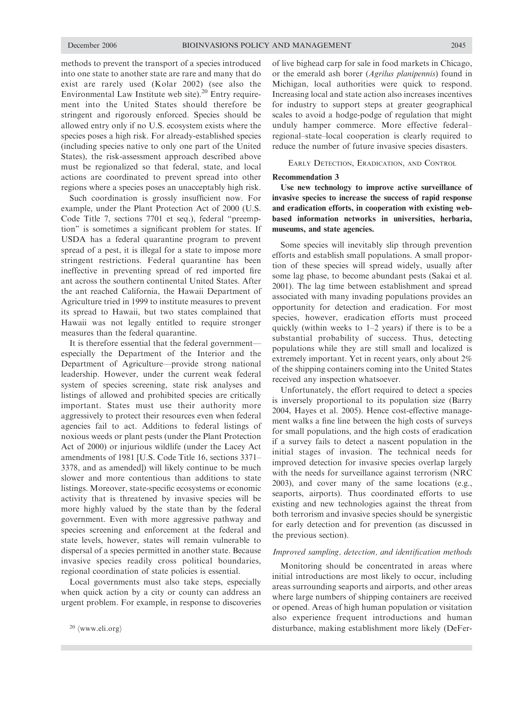methods to prevent the transport of a species introduced into one state to another state are rare and many that do exist are rarely used (Kolar 2002) (see also the Environmental Law Institute web site). $^{20}$  Entry requirement into the United States should therefore be stringent and rigorously enforced. Species should be allowed entry only if no U.S. ecosystem exists where the species poses a high risk. For already-established species (including species native to only one part of the United States), the risk-assessment approach described above must be regionalized so that federal, state, and local actions are coordinated to prevent spread into other regions where a species poses an unacceptably high risk.

Such coordination is grossly insufficient now. For example, under the Plant Protection Act of 2000 (U.S. Code Title 7, sections 7701 et seq.), federal ''preemption'' is sometimes a significant problem for states. If USDA has a federal quarantine program to prevent spread of a pest, it is illegal for a state to impose more stringent restrictions. Federal quarantine has been ineffective in preventing spread of red imported fire ant across the southern continental United States. After the ant reached California, the Hawaii Department of Agriculture tried in 1999 to institute measures to prevent its spread to Hawaii, but two states complained that Hawaii was not legally entitled to require stronger measures than the federal quarantine.

It is therefore essential that the federal government especially the Department of the Interior and the Department of Agriculture—provide strong national leadership. However, under the current weak federal system of species screening, state risk analyses and listings of allowed and prohibited species are critically important. States must use their authority more aggressively to protect their resources even when federal agencies fail to act. Additions to federal listings of noxious weeds or plant pests (under the Plant Protection Act of 2000) or injurious wildlife (under the Lacey Act amendments of 1981 [U.S. Code Title 16, sections 3371– 3378, and as amended]) will likely continue to be much slower and more contentious than additions to state listings. Moreover, state-specific ecosystems or economic activity that is threatened by invasive species will be more highly valued by the state than by the federal government. Even with more aggressive pathway and species screening and enforcement at the federal and state levels, however, states will remain vulnerable to dispersal of a species permitted in another state. Because invasive species readily cross political boundaries, regional coordination of state policies is essential.

Local governments must also take steps, especially when quick action by a city or county can address an urgent problem. For example, in response to discoveries of live bighead carp for sale in food markets in Chicago, or the emerald ash borer (Agrilus planipennis) found in Michigan, local authorities were quick to respond. Increasing local and state action also increases incentives for industry to support steps at greater geographical scales to avoid a hodge-podge of regulation that might unduly hamper commerce. More effective federal– regional–state–local cooperation is clearly required to reduce the number of future invasive species disasters.

#### EARLY DETECTION, ERADICATION, AND CONTROL

#### Recommendation 3

Use new technology to improve active surveillance of invasive species to increase the success of rapid response and eradication efforts, in cooperation with existing webbased information networks in universities, herbaria, museums, and state agencies.

Some species will inevitably slip through prevention efforts and establish small populations. A small proportion of these species will spread widely, usually after some lag phase, to become abundant pests (Sakai et al. 2001). The lag time between establishment and spread associated with many invading populations provides an opportunity for detection and eradication. For most species, however, eradication efforts must proceed quickly (within weeks to 1–2 years) if there is to be a substantial probability of success. Thus, detecting populations while they are still small and localized is extremely important. Yet in recent years, only about 2% of the shipping containers coming into the United States received any inspection whatsoever.

Unfortunately, the effort required to detect a species is inversely proportional to its population size (Barry 2004, Hayes et al. 2005). Hence cost-effective management walks a fine line between the high costs of surveys for small populations, and the high costs of eradication if a survey fails to detect a nascent population in the initial stages of invasion. The technical needs for improved detection for invasive species overlap largely with the needs for surveillance against terrorism (NRC 2003), and cover many of the same locations (e.g., seaports, airports). Thus coordinated efforts to use existing and new technologies against the threat from both terrorism and invasive species should be synergistic for early detection and for prevention (as discussed in the previous section).

#### Improved sampling, detection, and identification methods

Monitoring should be concentrated in areas where initial introductions are most likely to occur, including areas surrounding seaports and airports, and other areas where large numbers of shipping containers are received or opened. Areas of high human population or visitation also experience frequent introductions and human <sup>20</sup> (www.eli.org) disturbance, making establishment more likely (DeFer-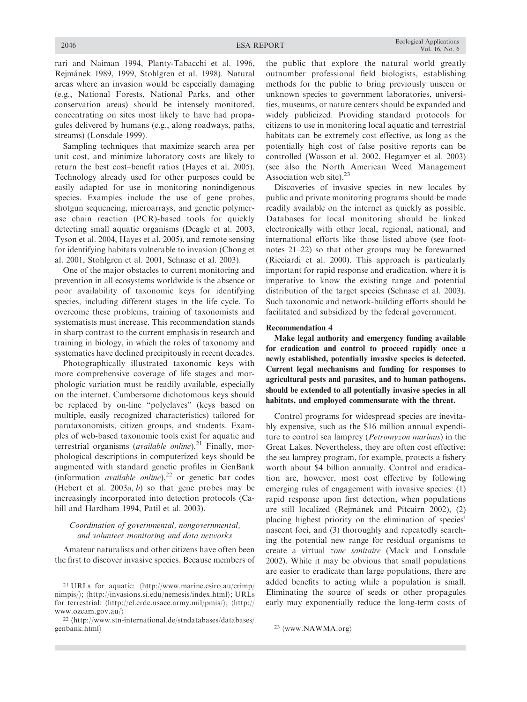rari and Naiman 1994, Planty-Tabacchi et al. 1996, Rejma´nek 1989, 1999, Stohlgren et al. 1998). Natural areas where an invasion would be especially damaging (e.g., National Forests, National Parks, and other conservation areas) should be intensely monitored, concentrating on sites most likely to have had propagules delivered by humans (e.g., along roadways, paths, streams) (Lonsdale 1999).

Sampling techniques that maximize search area per unit cost, and minimize laboratory costs are likely to return the best cost–benefit ratios (Hayes et al. 2005). Technology already used for other purposes could be easily adapted for use in monitoring nonindigenous species. Examples include the use of gene probes, shotgun sequencing, microarrays, and genetic polymerase chain reaction (PCR)-based tools for quickly detecting small aquatic organisms (Deagle et al. 2003, Tyson et al. 2004, Hayes et al. 2005), and remote sensing for identifying habitats vulnerable to invasion (Chong et al. 2001, Stohlgren et al. 2001, Schnase et al. 2003).

One of the major obstacles to current monitoring and prevention in all ecosystems worldwide is the absence or poor availability of taxonomic keys for identifying species, including different stages in the life cycle. To overcome these problems, training of taxonomists and systematists must increase. This recommendation stands in sharp contrast to the current emphasis in research and training in biology, in which the roles of taxonomy and systematics have declined precipitously in recent decades.

Photographically illustrated taxonomic keys with more comprehensive coverage of life stages and morphologic variation must be readily available, especially on the internet. Cumbersome dichotomous keys should be replaced by on-line ''polyclaves'' (keys based on multiple, easily recognized characteristics) tailored for parataxonomists, citizen groups, and students. Examples of web-based taxonomic tools exist for aquatic and terrestrial organisms (*available online*).<sup>21</sup> Finally, morphological descriptions in computerized keys should be augmented with standard genetic profiles in GenBank (information *available online*), $^{22}$  or genetic bar codes (Hebert et al.  $2003a, b$ ) so that gene probes may be increasingly incorporated into detection protocols (Cahill and Hardham 1994, Patil et al. 2003).

### Coordination of governmental, nongovernmental, and volunteer monitoring and data networks

Amateur naturalists and other citizens have often been the first to discover invasive species. Because members of the public that explore the natural world greatly outnumber professional field biologists, establishing methods for the public to bring previously unseen or unknown species to government laboratories, universities, museums, or nature centers should be expanded and widely publicized. Providing standard protocols for citizens to use in monitoring local aquatic and terrestrial habitats can be extremely cost effective, as long as the potentially high cost of false positive reports can be controlled (Wasson et al. 2002, Hegamyer et al. 2003) (see also the North American Weed Management Association web site). $23$ 

Discoveries of invasive species in new locales by public and private monitoring programs should be made readily available on the internet as quickly as possible. Databases for local monitoring should be linked electronically with other local, regional, national, and international efforts like those listed above (see footnotes 21–22) so that other groups may be forewarned (Ricciardi et al. 2000). This approach is particularly important for rapid response and eradication, where it is imperative to know the existing range and potential distribution of the target species (Schnase et al. 2003). Such taxonomic and network-building efforts should be facilitated and subsidized by the federal government.

#### Recommendation 4

Make legal authority and emergency funding available for eradication and control to proceed rapidly once a newly established, potentially invasive species is detected. Current legal mechanisms and funding for responses to agricultural pests and parasites, and to human pathogens, should be extended to all potentially invasive species in all habitats, and employed commensurate with the threat.

Control programs for widespread species are inevitably expensive, such as the \$16 million annual expenditure to control sea lamprey (Petromyzon marinus) in the Great Lakes. Nevertheless, they are often cost effective; the sea lamprey program, for example, protects a fishery worth about \$4 billion annually. Control and eradication are, however, most cost effective by following emerging rules of engagement with invasive species: (1) rapid response upon first detection, when populations are still localized (Rejmánek and Pitcairn 2002), (2) placing highest priority on the elimination of species' nascent foci, and (3) thoroughly and repeatedly searching the potential new range for residual organisms to create a virtual zone sanitaire (Mack and Lonsdale 2002). While it may be obvious that small populations are easier to eradicate than large populations, there are added benefits to acting while a population is small. Eliminating the source of seeds or other propagules early may exponentially reduce the long-term costs of

<sup>21</sup> URLs for aquatic: hhttp://www.marine.csiro.au/crimp/ nimpis/ $\rangle$ ;  $\langle$ http://invasions.si.edu/nemesis/index.html $\rangle$ ; URLs for terrestrial:  $\langle$ http://el.erdc.usace.army.mil/pmis/ $\rangle$ ;  $\langle$ http:// www.ozcam.gov.au/)

<sup>22</sup> hhttp://www.stn-international.de/stndatabases/databases/ genbank.html) <sup>23</sup> (www.NAWMA.org)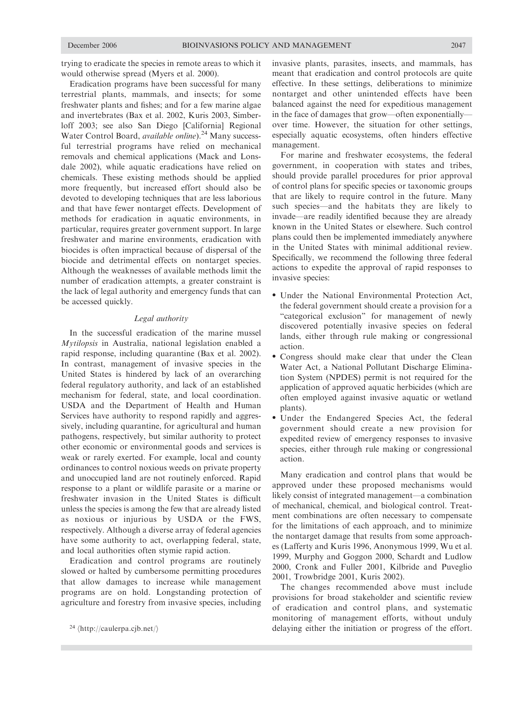trying to eradicate the species in remote areas to which it would otherwise spread (Myers et al. 2000).

Eradication programs have been successful for many terrestrial plants, mammals, and insects; for some freshwater plants and fishes; and for a few marine algae and invertebrates (Bax et al. 2002, Kuris 2003, Simberloff 2003; see also San Diego [California] Regional Water Control Board, *available online*).<sup>24</sup> Many successful terrestrial programs have relied on mechanical removals and chemical applications (Mack and Lonsdale 2002), while aquatic eradications have relied on chemicals. These existing methods should be applied more frequently, but increased effort should also be devoted to developing techniques that are less laborious and that have fewer nontarget effects. Development of methods for eradication in aquatic environments, in particular, requires greater government support. In large freshwater and marine environments, eradication with biocides is often impractical because of dispersal of the biocide and detrimental effects on nontarget species. Although the weaknesses of available methods limit the number of eradication attempts, a greater constraint is the lack of legal authority and emergency funds that can be accessed quickly.

#### Legal authority

In the successful eradication of the marine mussel Mytilopsis in Australia, national legislation enabled a rapid response, including quarantine (Bax et al. 2002). In contrast, management of invasive species in the United States is hindered by lack of an overarching federal regulatory authority, and lack of an established mechanism for federal, state, and local coordination. USDA and the Department of Health and Human Services have authority to respond rapidly and aggressively, including quarantine, for agricultural and human pathogens, respectively, but similar authority to protect other economic or environmental goods and services is weak or rarely exerted. For example, local and county ordinances to control noxious weeds on private property and unoccupied land are not routinely enforced. Rapid response to a plant or wildlife parasite or a marine or freshwater invasion in the United States is difficult unless the species is among the few that are already listed as noxious or injurious by USDA or the FWS, respectively. Although a diverse array of federal agencies have some authority to act, overlapping federal, state, and local authorities often stymie rapid action.

Eradication and control programs are routinely slowed or halted by cumbersome permitting procedures that allow damages to increase while management programs are on hold. Longstanding protection of agriculture and forestry from invasive species, including

invasive plants, parasites, insects, and mammals, has meant that eradication and control protocols are quite effective. In these settings, deliberations to minimize nontarget and other unintended effects have been balanced against the need for expeditious management in the face of damages that grow—often exponentially over time. However, the situation for other settings, especially aquatic ecosystems, often hinders effective management.

For marine and freshwater ecosystems, the federal government, in cooperation with states and tribes, should provide parallel procedures for prior approval of control plans for specific species or taxonomic groups that are likely to require control in the future. Many such species—and the habitats they are likely to invade—are readily identified because they are already known in the United States or elsewhere. Such control plans could then be implemented immediately anywhere in the United States with minimal additional review. Specifically, we recommend the following three federal actions to expedite the approval of rapid responses to invasive species:

- Under the National Environmental Protection Act, the federal government should create a provision for a "categorical exclusion" for management of newly discovered potentially invasive species on federal lands, either through rule making or congressional action.
- Congress should make clear that under the Clean Water Act, a National Pollutant Discharge Elimination System (NPDES) permit is not required for the application of approved aquatic herbicides (which are often employed against invasive aquatic or wetland plants).
- Under the Endangered Species Act, the federal government should create a new provision for expedited review of emergency responses to invasive species, either through rule making or congressional action.

Many eradication and control plans that would be approved under these proposed mechanisms would likely consist of integrated management—a combination of mechanical, chemical, and biological control. Treatment combinations are often necessary to compensate for the limitations of each approach, and to minimize the nontarget damage that results from some approaches (Lafferty and Kuris 1996, Anonymous 1999, Wu et al. 1999, Murphy and Goggon 2000, Schardt and Ludlow 2000, Cronk and Fuller 2001, Kilbride and Puveglio 2001, Trowbridge 2001, Kuris 2002).

The changes recommended above must include provisions for broad stakeholder and scientific review of eradication and control plans, and systematic monitoring of management efforts, without unduly  $24 \text{ \langle http://caulerpa.cjb.net/\rangle}$  delaying either the initiation or progress of the effort.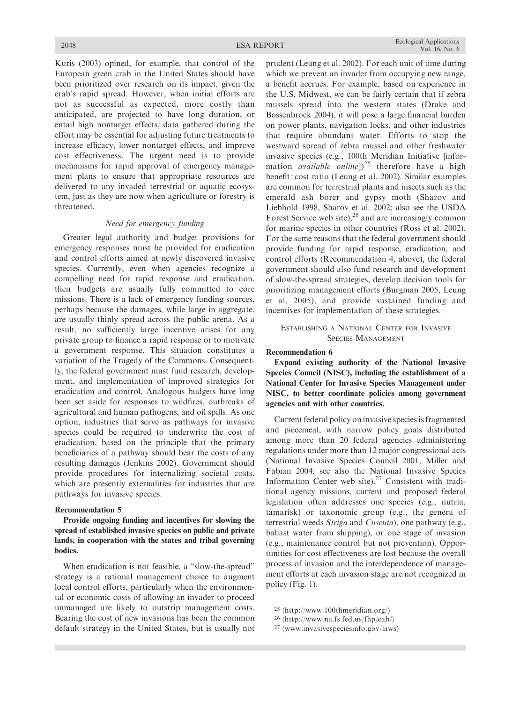Kuris (2003) opined, for example, that control of the European green crab in the United States should have been prioritized over research on its impact, given the crab's rapid spread. However, when initial efforts are not as successful as expected, more costly than anticipated, are projected to have long duration, or entail high nontarget effects, data gathered during the effort may be essential for adjusting future treatments to increase efficacy, lower nontarget effects, and improve cost effectiveness. The urgent need is to provide mechanisms for rapid approval of emergency management plans to ensure that appropriate resources are delivered to any invaded terrestrial or aquatic ecosystem, just as they are now when agriculture or forestry is threatened.

#### Need for emergency funding

Greater legal authority and budget provisions for emergency responses must be provided for eradication and control efforts aimed at newly discovered invasive species. Currently, even when agencies recognize a compelling need for rapid response and eradication, their budgets are usually fully committed to core missions. There is a lack of emergency funding sources, perhaps because the damages, while large in aggregate, are usually thinly spread across the public arena. As a result, no sufficiently large incentive arises for any private group to finance a rapid response or to motivate a government response. This situation constitutes a variation of the Tragedy of the Commons. Consequently, the federal government must fund research, development, and implementation of improved strategies for eradication and control. Analogous budgets have long been set aside for responses to wildfires, outbreaks of agricultural and human pathogens, and oil spills. As one option, industries that serve as pathways for invasive species could be required to underwrite the cost of eradication, based on the principle that the primary beneficiaries of a pathway should bear the costs of any resulting damages (Jenkins 2002). Government should provide procedures for internalizing societal costs, which are presently externalities for industries that are pathways for invasive species.

#### Recommendation 5

Provide ongoing funding and incentives for slowing the spread of established invasive species on public and private lands, in cooperation with the states and tribal governing bodies.

When eradication is not feasible, a ''slow-the-spread'' strategy is a rational management choice to augment local control efforts, particularly when the environmental or economic costs of allowing an invader to proceed unmanaged are likely to outstrip management costs. Bearing the cost of new invasions has been the common default strategy in the United States, but is usually not prudent (Leung et al. 2002). For each unit of time during which we prevent an invader from occupying new range, a benefit accrues. For example, based on experience in the U.S. Midwest, we can be fairly certain that if zebra mussels spread into the western states (Drake and Bossenbroek 2004), it will pose a large financial burden on power plants, navigation locks, and other industries that require abundant water. Efforts to stop the westward spread of zebra mussel and other freshwater invasive species (e.g., 100th Meridian Initiative [information *available online*])<sup>25</sup> therefore have a high benefit : cost ratio (Leung et al. 2002). Similar examples are common for terrestrial plants and insects such as the emerald ash borer and gypsy moth (Sharov and Liebhold 1998, Sharov et al. 2002; also see the USDA Forest Service web site), $^{26}$  and are increasingly common for marine species in other countries (Ross et al. 2002). For the same reasons that the federal government should provide funding for rapid response, eradication, and control efforts (Recommendation 4, above), the federal government should also fund research and development of slow-the-spread strategies, develop decision tools for prioritizing management efforts (Burgman 2005, Leung et al. 2005), and provide sustained funding and incentives for implementation of these strategies.

ESTABLISHING A NATIONAL CENTER FOR INVASIVE SPECIES MANAGEMENT

#### Recommendation 6

Expand existing authority of the National Invasive Species Council (NISC), including the establishment of a National Center for Invasive Species Management under NISC, to better coordinate policies among government agencies and with other countries.

Current federal policy on invasive species is fragmented and piecemeal, with narrow policy goals distributed among more than 20 federal agencies administering regulations under more than 12 major congressional acts (National Invasive Species Council 2001, Miller and Fabian 2004; see also the National Invasive Species Information Center web site).<sup>27</sup> Consistent with traditional agency missions, current and proposed federal legislation often addresses one species (e.g., nutria, tamarisk) or taxonomic group (e.g., the genera of terrestrial weeds Striga and Cuscuta), one pathway (e.g., ballast water from shipping), or one stage of invasion (e.g., maintenance control but not prevention). Opportunities for cost effectiveness are lost because the overall process of invasion and the interdependence of management efforts at each invasion stage are not recognized in policy (Fig. 1).

- $26$   $\langle$ http://www.na.fs.fed.us/fhp/eab/ $\rangle$
- $27 \langle$ www.invasivespeciesinfo.gov/laws $\rangle$

<sup>&</sup>lt;sup>25</sup>  $\langle$ http://www.100thmeridian.org/ $\rangle$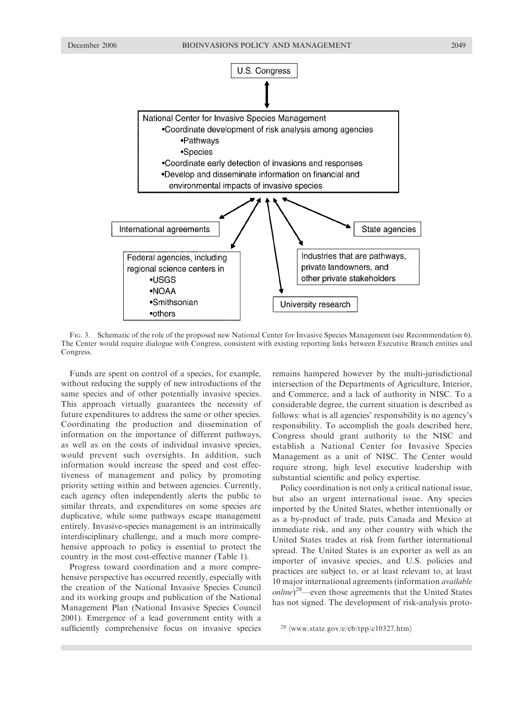

FIG. 3. Schematic of the role of the proposed new National Center for Invasive Species Management (see Recommendation 6). The Center would require dialogue with Congress, consistent with existing reporting links between Executive Branch entities and Congress.

Funds are spent on control of a species, for example, without reducing the supply of new introductions of the same species and of other potentially invasive species. This approach virtually guarantees the necessity of future expenditures to address the same or other species. Coordinating the production and dissemination of information on the importance of different pathways, as well as on the costs of individual invasive species, would prevent such oversights. In addition, such information would increase the speed and cost effectiveness of management and policy by promoting priority setting within and between agencies. Currently, each agency often independently alerts the public to similar threats, and expenditures on some species are duplicative, while some pathways escape management entirely. Invasive-species management is an intrinsically interdisciplinary challenge, and a much more comprehensive approach to policy is essential to protect the country in the most cost-effective manner (Table 1).

Progress toward coordination and a more comprehensive perspective has occurred recently, especially with the creation of the National Invasive Species Council and its working groups and publication of the National Management Plan (National Invasive Species Council 2001). Emergence of a lead government entity with a sufficiently comprehensive focus on invasive species remains hampered however by the multi-jurisdictional intersection of the Departments of Agriculture, Interior, and Commerce, and a lack of authority in NISC. To a considerable degree, the current situation is described as follows: what is all agencies' responsibility is no agency's responsibility. To accomplish the goals described here, Congress should grant authority to the NISC and establish a National Center for Invasive Species Management as a unit of NISC. The Center would require strong, high level executive leadership with substantial scientific and policy expertise.

Policy coordination is not only a critical national issue, but also an urgent international issue. Any species imported by the United States, whether intentionally or as a by-product of trade, puts Canada and Mexico at immediate risk, and any other country with which the United States trades at risk from further international spread. The United States is an exporter as well as an importer of invasive species, and U.S. policies and practices are subject to, or at least relevant to, at least 10 major international agreements (information available *online* $)^{28}$ —even those agreements that the United States has not signed. The development of risk-analysis proto-

 $28 \langle$ www.state.gov/e/eb/tpp/c10327.htm $\rangle$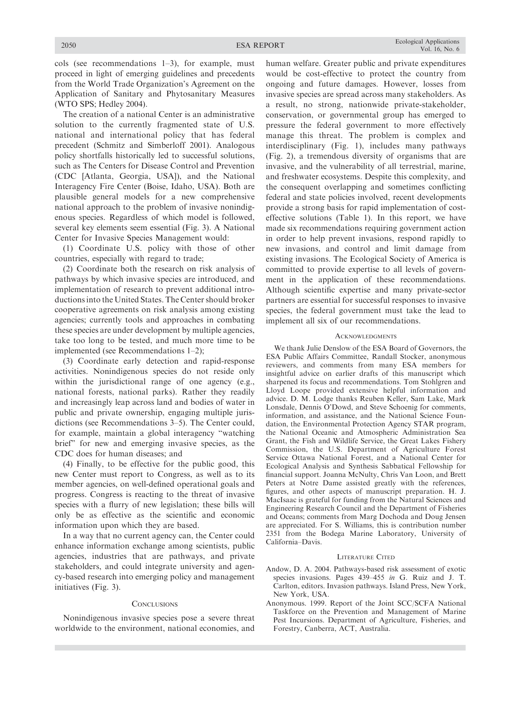cols (see recommendations 1–3), for example, must proceed in light of emerging guidelines and precedents from the World Trade Organization's Agreement on the Application of Sanitary and Phytosanitary Measures (WTO SPS; Hedley 2004).

The creation of a national Center is an administrative solution to the currently fragmented state of U.S. national and international policy that has federal precedent (Schmitz and Simberloff 2001). Analogous policy shortfalls historically led to successful solutions, such as The Centers for Disease Control and Prevention (CDC [Atlanta, Georgia, USA]), and the National Interagency Fire Center (Boise, Idaho, USA). Both are plausible general models for a new comprehensive national approach to the problem of invasive nonindigenous species. Regardless of which model is followed, several key elements seem essential (Fig. 3). A National Center for Invasive Species Management would:

(1) Coordinate U.S. policy with those of other countries, especially with regard to trade;

(2) Coordinate both the research on risk analysis of pathways by which invasive species are introduced, and implementation of research to prevent additional introductions into the United States. The Center should broker cooperative agreements on risk analysis among existing agencies; currently tools and approaches in combating these species are under development by multiple agencies, take too long to be tested, and much more time to be implemented (see Recommendations 1–2);

(3) Coordinate early detection and rapid-response activities. Nonindigenous species do not reside only within the jurisdictional range of one agency (e.g., national forests, national parks). Rather they readily and increasingly leap across land and bodies of water in public and private ownership, engaging multiple jurisdictions (see Recommendations 3–5). The Center could, for example, maintain a global interagency ''watching brief'' for new and emerging invasive species, as the CDC does for human diseases; and

(4) Finally, to be effective for the public good, this new Center must report to Congress, as well as to its member agencies, on well-defined operational goals and progress. Congress is reacting to the threat of invasive species with a flurry of new legislation; these bills will only be as effective as the scientific and economic information upon which they are based.

In a way that no current agency can, the Center could enhance information exchange among scientists, public agencies, industries that are pathways, and private stakeholders, and could integrate university and agency-based research into emerging policy and management initiatives (Fig. 3).

#### **CONCLUSIONS**

Nonindigenous invasive species pose a severe threat worldwide to the environment, national economies, and

human welfare. Greater public and private expenditures would be cost-effective to protect the country from ongoing and future damages. However, losses from invasive species are spread across many stakeholders. As a result, no strong, nationwide private-stakeholder, conservation, or governmental group has emerged to pressure the federal government to more effectively manage this threat. The problem is complex and interdisciplinary (Fig. 1), includes many pathways (Fig. 2), a tremendous diversity of organisms that are invasive, and the vulnerability of all terrestrial, marine, and freshwater ecosystems. Despite this complexity, and the consequent overlapping and sometimes conflicting federal and state policies involved, recent developments provide a strong basis for rapid implementation of costeffective solutions (Table 1). In this report, we have made six recommendations requiring government action in order to help prevent invasions, respond rapidly to new invasions, and control and limit damage from existing invasions. The Ecological Society of America is committed to provide expertise to all levels of government in the application of these recommendations. Although scientific expertise and many private-sector partners are essential for successful responses to invasive species, the federal government must take the lead to implement all six of our recommendations.

#### ACKNOWLEDGMENTS

We thank Julie Denslow of the ESA Board of Governors, the ESA Public Affairs Committee, Randall Stocker, anonymous reviewers, and comments from many ESA members for insightful advice on earlier drafts of this manuscript which sharpened its focus and recommendations. Tom Stohlgren and Lloyd Loope provided extensive helpful information and advice. D. M. Lodge thanks Reuben Keller, Sam Lake, Mark Lonsdale, Dennis O'Dowd, and Steve Schoenig for comments, information, and assistance, and the National Science Foundation, the Environmental Protection Agency STAR program, the National Oceanic and Atmospheric Administration Sea Grant, the Fish and Wildlife Service, the Great Lakes Fishery Commission, the U.S. Department of Agriculture Forest Service Ottawa National Forest, and a National Center for Ecological Analysis and Synthesis Sabbatical Fellowship for financial support. Joanna McNulty, Chris Van Loon, and Brett Peters at Notre Dame assisted greatly with the references, figures, and other aspects of manuscript preparation. H. J. MacIsaac is grateful for funding from the Natural Sciences and Engineering Research Council and the Department of Fisheries and Oceans; comments from Marg Dochoda and Doug Jensen are appreciated. For S. Williams, this is contribution number 2351 from the Bodega Marine Laboratory, University of California–Davis.

#### LITERATURE CITED

- Andow, D. A. 2004. Pathways-based risk assessment of exotic species invasions. Pages 439–455 in G. Ruiz and J. T. Carlton, editors. Invasion pathways. Island Press, New York, New York, USA.
- Anonymous. 1999. Report of the Joint SCC/SCFA National Taskforce on the Prevention and Management of Marine Pest Incursions. Department of Agriculture, Fisheries, and Forestry, Canberra, ACT, Australia.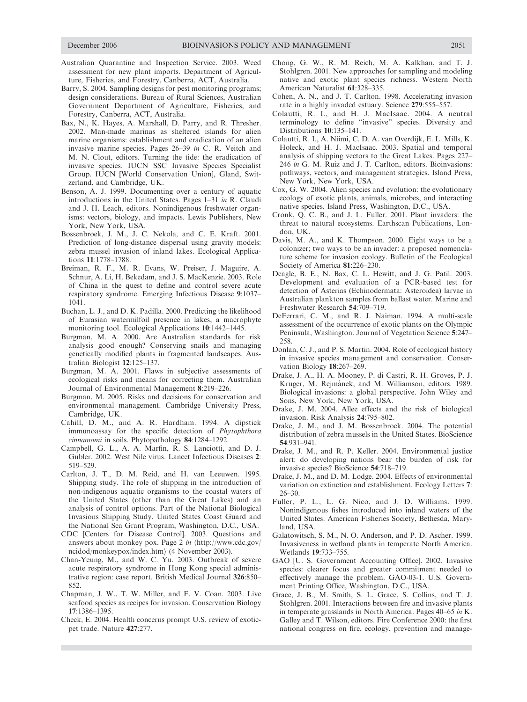- Australian Quarantine and Inspection Service. 2003. Weed assessment for new plant imports. Department of Agriculture, Fisheries, and Forestry, Canberra, ACT, Australia.
- Barry, S. 2004. Sampling designs for pest monitoring programs; design considerations. Bureau of Rural Sciences, Australian Government Department of Agriculture, Fisheries, and Forestry, Canberra, ACT, Australia.
- Bax, N., K. Hayes, A. Marshall, D. Parry, and R. Thresher. 2002. Man-made marinas as sheltered islands for alien marine organisms: establishment and eradication of an alien invasive marine species. Pages 26–39 in C. R. Veitch and M. N. Clout, editors. Turning the tide: the eradication of invasive species. IUCN SSC Invasive Species Specialist Group. IUCN [World Conservation Union], Gland, Switzerland, and Cambridge, UK.
- Benson, A. J. 1999. Documenting over a century of aquatic introductions in the United States. Pages 1–31 in R. Claudi and J. H. Leach, editors. Nonindigenous freshwater organisms: vectors, biology, and impacts. Lewis Publishers, New York, New York, USA.
- Bossenbroek, J. M., J. C. Nekola, and C. E. Kraft. 2001. Prediction of long-distance dispersal using gravity models: zebra mussel invasion of inland lakes. Ecological Applications 11:1778–1788.
- Breiman, R. F., M. R. Evans, W. Preiser, J. Maguire, A. Schnur, A. Li, H. Bekedam, and J. S. MacKenzie. 2003. Role of China in the quest to define and control severe acute respiratory syndrome. Emerging Infectious Disease 9:1037– 1041.
- Buchan, L. J., and D. K. Padilla. 2000. Predicting the likelihood of Eurasian watermilfoil presence in lakes, a macrophyte monitoring tool. Ecological Applications 10:1442–1445.
- Burgman, M. A. 2000. Are Australian standards for risk analysis good enough? Conserving snails and managing genetically modified plants in fragmented landscapes. Australian Biologist 12:125–137.
- Burgman, M. A. 2001. Flaws in subjective assessments of ecological risks and means for correcting them. Australian Journal of Environmental Management 8:219–226.
- Burgman, M. 2005. Risks and decisions for conservation and environmental management. Cambridge University Press, Cambridge, UK.
- Cahill, D. M., and A. R. Hardham. 1994. A dipstick immunoassay for the specific detection of Phytophthora cinnamomi in soils. Phytopathology 84:1284–1292.
- Campbell, G. L., A. A. Marfin, R. S. Lanciotti, and D. J. Gubler. 2002. West Nile virus. Lancet Infectious Diseases 2: 519–529.
- Carlton, J. T., D. M. Reid, and H. van Leeuwen. 1995. Shipping study. The role of shipping in the introduction of non-indigenous aquatic organisms to the coastal waters of the United States (other than the Great Lakes) and an analysis of control options. Part of the National Biological Invasions Shipping Study. United States Coast Guard and the National Sea Grant Program, Washington, D.C., USA.
- CDC [Centers for Disease Control]. 2003. Questions and answers about monkey pox. Page 2 in  $\langle \frac{http://www.cdc.gov/\rangle}{http://www.cdc.gov/\rangle}$ ncidod/monkeypox/index.htm) (4 November 2003).
- Chan-Yeung, M., and W. C. Yu. 2003. Outbreak of severe acute respiratory syndrome in Hong Kong special administrative region: case report. British Medical Journal 326:850– 852.
- Chapman, J. W., T. W. Miller, and E. V. Coan. 2003. Live seafood species as recipes for invasion. Conservation Biology 17:1386–1395.
- Check, E. 2004. Health concerns prompt U.S. review of exoticpet trade. Nature 427:277.
- Chong, G. W., R. M. Reich, M. A. Kalkhan, and T. J. Stohlgren. 2001. New approaches for sampling and modeling native and exotic plant species richness. Western North American Naturalist 61:328–335.
- Cohen, A. N., and J. T. Carlton. 1998. Accelerating invasion rate in a highly invaded estuary. Science 279:555-557.
- Colautti, R. I., and H. J. MacIsaac. 2004. A neutral terminology to define ''invasive'' species. Diversity and Distributions 10:135–141.
- Colautti, R. I., A. Niimi, C. D. A. van Overdijk, E. L. Mills, K. Holeck, and H. J. MacIsaac. 2003. Spatial and temporal analysis of shipping vectors to the Great Lakes. Pages 227– 246 in G. M. Ruiz and J. T. Carlton, editors. Bioinvasions: pathways, vectors, and management strategies. Island Press, New York, New York, USA.
- Cox, G. W. 2004. Alien species and evolution: the evolutionary ecology of exotic plants, animals, microbes, and interacting native species. Island Press, Washington, D.C., USA.
- Cronk, Q. C. B., and J. L. Fuller. 2001. Plant invaders: the threat to natural ecosystems. Earthscan Publications, London, UK.
- Davis, M. A., and K. Thompson. 2000. Eight ways to be a colonizer; two ways to be an invader: a proposed nomenclature scheme for invasion ecology. Bulletin of the Ecological Society of America 81:226–230.
- Deagle, B. E., N. Bax, C. L. Hewitt, and J. G. Patil. 2003. Development and evaluation of a PCR-based test for detection of Asterias (Echinodermata: Asteroidea) larvae in Australian plankton samples from ballast water. Marine and Freshwater Research 54:709–719.
- DeFerrari, C. M., and R. J. Naiman. 1994. A multi-scale assessment of the occurrence of exotic plants on the Olympic Peninsula, Washington. Journal of Vegetation Science 5:247– 258.
- Donlan, C. J., and P. S. Martin. 2004. Role of ecological history in invasive species management and conservation. Conservation Biology 18:267–269.
- Drake, J. A., H. A. Mooney, P. di Castri, R. H. Groves, P. J. Kruger, M. Rejmánek, and M. Williamson, editors. 1989. Biological invasions: a global perspective. John Wiley and Sons, New York, New York, USA.
- Drake, J. M. 2004. Allee effects and the risk of biological invasion. Risk Analysis 24:795–802.
- Drake, J. M., and J. M. Bossenbroek. 2004. The potential distribution of zebra mussels in the United States. BioScience 54:931–941.
- Drake, J. M., and R. P. Keller. 2004. Environmental justice alert: do developing nations bear the burden of risk for invasive species? BioScience 54:718–719.
- Drake, J. M., and D. M. Lodge. 2004. Effects of environmental variation on extinction and establishment. Ecology Letters 7: 26–30.
- Fuller, P. L., L. G. Nico, and J. D. Williams. 1999. Nonindigenous fishes introduced into inland waters of the United States. American Fisheries Society, Bethesda, Maryland, USA.
- Galatowitsch, S. M., N. O. Anderson, and P. D. Ascher. 1999. Invasiveness in wetland plants in temperate North America. Wetlands 19:733–755.
- GAO [U. S. Government Accounting Office]. 2002. Invasive species: clearer focus and greater commitment needed to effectively manage the problem. GAO-03-1. U.S. Government Printing Office, Washington, D.C., USA.
- Grace, J. B., M. Smith, S. L. Grace, S. Collins, and T. J. Stohlgren. 2001. Interactions between fire and invasive plants in temperate grasslands in North America. Pages 40–65 in K. Galley and T. Wilson, editors. Fire Conference 2000: the first national congress on fire, ecology, prevention and manage-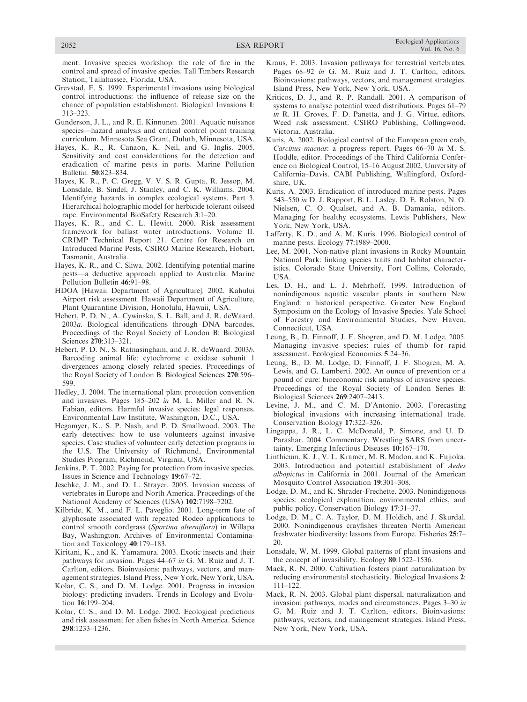ment. Invasive species workshop: the role of fire in the control and spread of invasive species. Tall Timbers Research Station, Tallahassee, Florida, USA.

- Grevstad, F. S. 1999. Experimental invasions using biological control introductions: the influence of release size on the chance of population establishment. Biological Invasions 1: 313–323.
- Gunderson, J. L., and R. E. Kinnunen. 2001. Aquatic nuisance species—hazard analysis and critical control point training curriculum. Minnesota Sea Grant, Duluth, Minnesota, USA.
- Hayes, K. R., R. Canaon, K. Neil, and G. Inglis. 2005. Sensitivity and cost considerations for the detection and eradication of marine pests in ports. Marine Pollution Bulletin. 50:823–834.
- Hayes, K. R., P. C. Gregg, V. V. S. R. Gupta, R. Jessop, M. Lonsdale, B. Sindel, J. Stanley, and C. K. Williams. 2004. Identifying hazards in complex ecological systems. Part 3. Hierarchical holographic model for herbicide tolerant oilseed rape. Environmental BioSafety Research 3:1–20.
- Hayes, K. R., and C. L. Hewitt. 2000. Risk assessment framework for ballast water introductions. Volume II. CRIMP Technical Report 21. Centre for Research on Introduced Marine Pests, CSIRO Marine Research, Hobart, Tasmania, Australia.
- Hayes, K. R., and C. Sliwa. 2002. Identifying potential marine pests—a deductive approach applied to Australia. Marine Pollution Bulletin 46:91–98.
- HDOA [Hawaii Department of Agriculture]. 2002. Kahului Airport risk assessment. Hawaii Department of Agriculture, Plant Quarantine Division, Honolulu, Hawaii, USA.
- Hebert, P. D. N., A. Cywinska, S. L. Ball, and J. R. deWaard. 2003a. Biological identifications through DNA barcodes. Proceedings of the Royal Society of London B: Biological Sciences 270:313–321.
- Hebert, P. D. N., S. Ratnasingham, and J. R. deWaard. 2003b. Barcoding animal life: cytochrome c oxidase subunit 1 divergences among closely related species. Proceedings of the Royal Society of London B: Biological Sciences 270:596– 599.
- Hedley, J. 2004. The international plant protection convention and invasives. Pages 185–202 in M. L. Miller and R. N. Fabian, editors. Harmful invasive species: legal responses. Environmental Law Institute, Washington, D.C., USA.
- Hegamyer, K., S. P. Nash, and P. D. Smallwood. 2003. The early detectives: how to use volunteers against invasive species. Case studies of volunteer early detection programs in the U.S. The University of Richmond, Environmental Studies Program, Richmond, Virginia, USA.
- Jenkins, P. T. 2002. Paying for protection from invasive species. Issues in Science and Technology 19:67–72.
- Jeschke, J. M., and D. L. Strayer. 2005. Invasion success of vertebrates in Europe and North America. Proceedings of the National Academy of Sciences (USA) 102:7198–7202.
- Kilbride, K. M., and F. L. Paveglio. 2001. Long-term fate of glyphosate associated with repeated Rodeo applications to control smooth cordgrass (Spartina alterniflora) in Willapa Bay, Washington. Archives of Environmental Contamination and Toxicology 40:179–183.
- Kiritani, K., and K. Yamamura. 2003. Exotic insects and their pathways for invasion. Pages 44–67 in G. M. Ruiz and J. T. Carlton, editors. Bioinvasions: pathways, vectors, and management strategies. Island Press, New York, New York, USA.
- Kolar, C. S., and D. M. Lodge. 2001. Progress in invasion biology: predicting invaders. Trends in Ecology and Evolution 16:199–204.
- Kolar, C. S., and D. M. Lodge. 2002. Ecological predictions and risk assessment for alien fishes in North America. Science 298:1233–1236.
- Kraus, F. 2003. Invasion pathways for terrestrial vertebrates. Pages 68–92 in G. M. Ruiz and J. T. Carlton, editors. Bioinvasions: pathways, vectors, and management strategies. Island Press, New York, New York, USA.
- Kriticos, D. J., and R. P. Randall. 2001. A comparison of systems to analyse potential weed distributions. Pages 61–79 in R. H. Groves, F. D. Panetta, and J. G. Virtue, editors. Weed risk assessment. CSIRO Publishing, Collingwood, Victoria, Australia.
- Kuris, A. 2002. Biological control of the European green crab, Carcinus maenas: a progress report. Pages 66–70 in M. S. Hoddle, editor. Proceedings of the Third California Conference on Biological Control, 15–16 August 2002, University of California–Davis. CABI Publishing, Wallingford, Oxfordshire, UK.
- Kuris, A. 2003. Eradication of introduced marine pests. Pages 543–550 in D. J. Rapport, B. L. Lasley, D. E. Rolston, N. O. Nielsen, C. O. Qualset, and A. B. Damania, editors. Managing for healthy ecosystems. Lewis Publishers, New York, New York, USA.
- Lafferty, K. D., and A. M. Kuris. 1996. Biological control of marine pests. Ecology 77:1989–2000.
- Lee, M. 2001. Non-native plant invasions in Rocky Mountain National Park: linking species traits and habitat characteristics. Colorado State University, Fort Collins, Colorado, USA.
- Les, D. H., and L. J. Mehrhoff. 1999. Introduction of nonindigenous aquatic vascular plants in southern New England: a historical perspective. Greater New England Symposium on the Ecology of Invasive Species. Yale School of Forestry and Environmental Studies, New Haven, Connecticut, USA.
- Leung, B., D. Finnoff, J. F. Shogren, and D. M. Lodge. 2005. Managing invasive species: rules of thumb for rapid assessment. Ecological Economics 5:24–36.
- Leung, B., D. M. Lodge, D. Finnoff, J. F. Shogren, M. A. Lewis, and G. Lamberti. 2002. An ounce of prevention or a pound of cure: bioeconomic risk analysis of invasive species. Proceedings of the Royal Society of London Series B: Biological Sciences 269:2407–2413.
- Levine, J. M., and C. M. D'Antonio. 2003. Forecasting biological invasions with increasing international trade. Conservation Biology 17:322–326.
- Lingappa, J. R., L. C. McDonald, P. Simone, and U. D. Parashar. 2004. Commentary. Wrestling SARS from uncertainty. Emerging Infectious Diseases 10:167–170.
- Linthicum, K. J., V. L. Kramer, M. B. Madon, and K. Fujioka. 2003. Introduction and potential establishment of Aedes albopictus in California in 2001. Journal of the American Mosquito Control Association 19:301–308.
- Lodge, D. M., and K. Shrader-Frechette. 2003. Nonindigenous species: ecological explanation, environmental ethics, and public policy. Conservation Biology 17:31–37.
- Lodge, D. M., C. A. Taylor, D. M. Holdich, and J. Skurdal. 2000. Nonindigenous crayfishes threaten North American freshwater biodiversity: lessons from Europe. Fisheries 25:7– 20.
- Lonsdale, W. M. 1999. Global patterns of plant invasions and the concept of invasibility. Ecology 80:1522–1536.
- Mack, R. N. 2000. Cultivation fosters plant naturalization by reducing environmental stochasticity. Biological Invasions 2: 111–122.
- Mack, R. N. 2003. Global plant dispersal, naturalization and invasion: pathways, modes and circumstances. Pages 3–30 in G. M. Ruiz and J. T. Carlton, editors. Bioinvasions: pathways, vectors, and management strategies. Island Press, New York, New York, USA.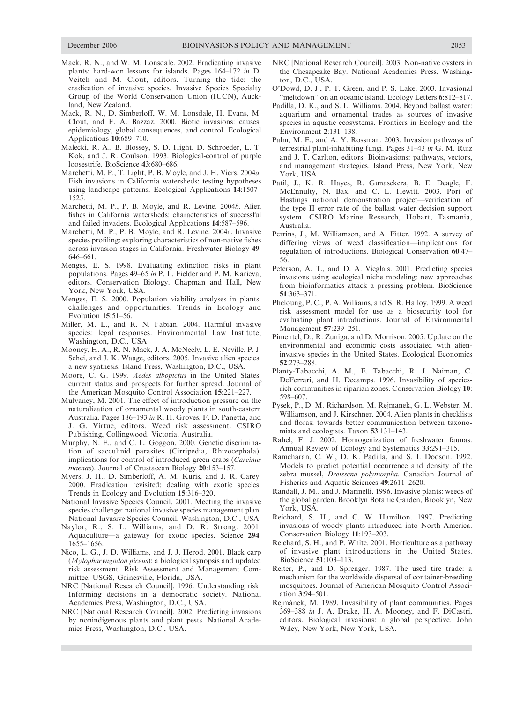- Mack, R. N., and W. M. Lonsdale. 2002. Eradicating invasive plants: hard-won lessons for islands. Pages 164–172 in D. Veitch and M. Clout, editors. Turning the tide: the eradication of invasive species. Invasive Species Specialty Group of the World Conservation Union (IUCN), Auckland, New Zealand.
- Mack, R. N., D. Simberloff, W. M. Lonsdale, H. Evans, M. Clout, and F. A. Bazzaz. 2000. Biotic invasions: causes, epidemiology, global consequences, and control. Ecological Applications 10:689–710.
- Malecki, R. A., B. Blossey, S. D. Hight, D. Schroeder, L. T. Kok, and J. R. Coulson. 1993. Biological-control of purple loosestrife. BioScience 43:680–686.
- Marchetti, M. P., T. Light, P. B. Moyle, and J. H. Viers. 2004a. Fish invasions in California watersheds: testing hypotheses using landscape patterns. Ecological Applications 14:1507– 1525.
- Marchetti, M. P., P. B. Moyle, and R. Levine. 2004b. Alien fishes in California watersheds: characteristics of successful and failed invaders. Ecological Applications 14:587–596.
- Marchetti, M. P., P. B. Moyle, and R. Levine. 2004c. Invasive species profiling: exploring characteristics of non-native fishes across invasion stages in California. Freshwater Biology 49: 646–661.
- Menges, E. S. 1998. Evaluating extinction risks in plant populations. Pages 49–65 in P. L. Fielder and P. M. Karieva, editors. Conservation Biology. Chapman and Hall, New York, New York, USA.
- Menges, E. S. 2000. Population viability analyses in plants: challenges and opportunities. Trends in Ecology and Evolution 15:51–56.
- Miller, M. L., and R. N. Fabian. 2004. Harmful invasive species: legal responses. Environmental Law Institute, Washington, D.C., USA.
- Mooney, H. A., R. N. Mack, J. A. McNeely, L. E. Neville, P. J. Schei, and J. K. Waage, editors. 2005. Invasive alien species: a new synthesis. Island Press, Washington, D.C., USA.
- Moore, C. G. 1999. Aedes albopictus in the United States: current status and prospects for further spread. Journal of the American Mosquito Control Association 15:221–227.
- Mulvaney, M. 2001. The effect of introduction pressure on the naturalization of ornamental woody plants in south-eastern Australia. Pages 186–193 in R. H. Groves, F. D. Panetta, and J. G. Virtue, editors. Weed risk assessment. CSIRO Publishing, Collingwood, Victoria, Australia.
- Murphy, N. E., and C. L. Goggon. 2000. Genetic discrimination of sacculinid parasites (Cirripedia, Rhizocephala): implications for control of introduced green crabs (Carcinus maenas). Journal of Crustacean Biology 20:153-157.
- Myers, J. H., D. Simberloff, A. M. Kuris, and J. R. Carey. 2000. Eradication revisited: dealing with exotic species. Trends in Ecology and Evolution 15:316–320.
- National Invasive Species Council. 2001. Meeting the invasive species challenge: national invasive species management plan. National Invasive Species Council, Washington, D.C., USA.
- Naylor, R., S. L. Williams, and D. R. Strong. 2001. Aquaculture—a gateway for exotic species. Science 294: 1655–1656.
- Nico, L. G., J. D. Williams, and J. J. Herod. 2001. Black carp (Mylopharyngodon piceus): a biological synopsis and updated risk assessment. Risk Assessment and Management Committee, USGS, Gainesville, Florida, USA.
- NRC [National Research Council]. 1996. Understanding risk: Informing decisions in a democratic society. National Academies Press, Washington, D.C., USA.
- NRC [National Research Council]. 2002. Predicting invasions by nonindigenous plants and plant pests. National Academies Press, Washington, D.C., USA.
- NRC [National Research Council]. 2003. Non-native oysters in the Chesapeake Bay. National Academies Press, Washington, D.C., USA.
- O'Dowd, D. J., P. T. Green, and P. S. Lake. 2003. Invasional ''meltdown'' on an oceanic island. Ecology Letters 6:812–817.
- Padilla, D. K., and S. L. Williams. 2004. Beyond ballast water: aquarium and ornamental trades as sources of invasive species in aquatic ecosystems. Frontiers in Ecology and the Environment 2:131–138.
- Palm, M. E., and A. Y. Rossman. 2003. Invasion pathways of terrestrial plant-inhabiting fungi. Pages 31–43 in G. M. Ruiz and J. T. Carlton, editors. Bioinvasions: pathways, vectors, and management strategies. Island Press, New York, New York, USA.
- Patil, J., K. R. Hayes, R. Gunasekera, B. E. Deagle, F. McEnnulty, N. Bax, and C. L. Hewitt. 2003. Port of Hastings national demonstration project—verification of the type II error rate of the ballast water decision support system. CSIRO Marine Research, Hobart, Tasmania, Australia.
- Perrins, J., M. Williamson, and A. Fitter. 1992. A survey of differing views of weed classification—implications for regulation of introductions. Biological Conservation 60:47– 56.
- Peterson, A. T., and D. A. Vieglais. 2001. Predicting species invasions using ecological niche modeling: new approaches from bioinformatics attack a pressing problem. BioScience 51:363–371.
- Pheloung, P. C., P. A. Williams, and S. R. Halloy. 1999. A weed risk assessment model for use as a biosecurity tool for evaluating plant introductions. Journal of Environmental Management 57:239–251.
- Pimentel, D., R. Zuniga, and D. Morrison. 2005. Update on the environmental and economic costs associated with alieninvasive species in the United States. Ecological Economics 52:273–288.
- Planty-Tabacchi, A. M., E. Tabacchi, R. J. Naiman, C. DeFerrari, and H. Decamps. 1996. Invasibility of speciesrich communities in riparian zones. Conservation Biology 10: 598–607.
- Pysek, P., D. M. Richardson, M. Rejmanek, G. L. Webster, M. Williamson, and J. Kirschner. 2004. Alien plants in checklists and floras: towards better communication between taxonomists and ecologists. Taxon 53:131–143.
- Rahel, F. J. 2002. Homogenization of freshwater faunas. Annual Review of Ecology and Systematics 33:291–315.
- Ramcharan, C. W., D. K. Padilla, and S. I. Dodson. 1992. Models to predict potential occurrence and density of the zebra mussel, Dreissena polymorpha. Canadian Journal of Fisheries and Aquatic Sciences 49:2611–2620.
- Randall, J. M., and J. Marinelli. 1996. Invasive plants: weeds of the global garden. Brooklyn Botanic Garden, Brooklyn, New York, USA.
- Reichard, S. H., and C. W. Hamilton. 1997. Predicting invasions of woody plants introduced into North America. Conservation Biology 11:193–203.
- Reichard, S. H., and P. White. 2001. Horticulture as a pathway of invasive plant introductions in the United States. BioScience 51:103–113.
- Reiter, P., and D. Sprenger. 1987. The used tire trade: a mechanism for the worldwide dispersal of container-breeding mosquitoes. Journal of American Mosquito Control Association 3:94–501.
- Rejma´nek, M. 1989. Invasibility of plant communities. Pages 369–388 in J. A. Drake, H. A. Mooney, and F. DiCastri, editors. Biological invasions: a global perspective. John Wiley, New York, New York, USA.